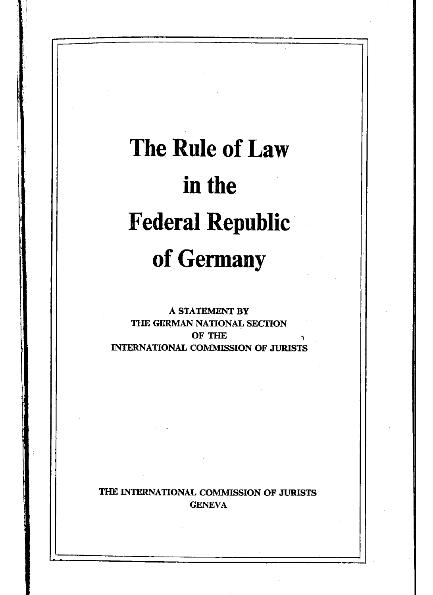# **The Rule of Law in the Federal Republic of Germany**

**A STATEMENT BY THE GERMAN NATIONAL SECTION OF THE INTERNATIONAL COMMISSION OF JURISTS**

**THE INTERNATIONAL COMMISSION OF JURISTS GENEVA**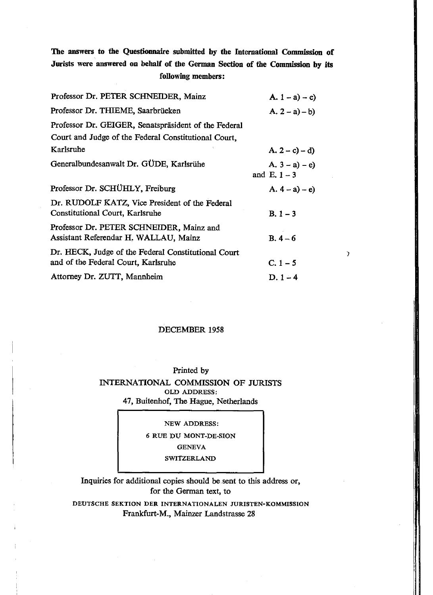### **The answers to the Questionnaire submitted by the International Commission of Jurists were answered on behalf of the German Section of the Commission by its following members:**

| Professor Dr. PETER SCHNEIDER, Mainz                                                       | A. $1 - a$ ) – c)                   |
|--------------------------------------------------------------------------------------------|-------------------------------------|
| Professor Dr. THIEME, Saarbrücken                                                          | $A. 2 - a) - b$                     |
| Professor Dr. GEIGER, Senatspräsident of the Federal                                       |                                     |
| Court and Judge of the Federal Constitutional Court.                                       |                                     |
| Karlsruhe                                                                                  | $(A, 2 - c) - d$                    |
| Generalbundesanwalt Dr. GÜDE, Karlsrühe                                                    | A. $3 - a$ ) – e)<br>and $E. 1 - 3$ |
| Professor Dr. SCHUHLY, Freiburg                                                            | $(A. 4 - a) - e)$                   |
| Dr. RUDOLF KATZ, Vice President of the Federal<br>Constitutional Court, Karlsruhe          | $B. 1 - 3$                          |
| Professor Dr. PETER SCHNEIDER, Mainz and<br>Assistant Referendar H. WALLAU, Mainz          | $B.4 - 6$                           |
| Dr. HECK, Judge of the Federal Constitutional Court<br>and of the Federal Court, Karlsruhe | $C. 1 - 5$                          |
| Attorney Dr. ZUTT, Mannheim                                                                | $D. 1 - 4$                          |

#### DECEMBER 1958

 $\overline{\phantom{a}}$ 

#### Printed by

INTERNATIONAL COMMISSION OF JURISTS OLD ADDRESS: 47, Buitenhof, The Hague, Netherlands

NEW ADDRESS:

6 RUE DU MONT-DE-SION

**GENEVA** 

**SWITZERLAND** 

Inquiries for additional copies should be sent to this address or, for the German text, to

DEUTSCHE SEKTION DER INTERNATIONALEN JURISTEN-KOMMISSION Frankfurt-M., Mainzer Landstrasse 28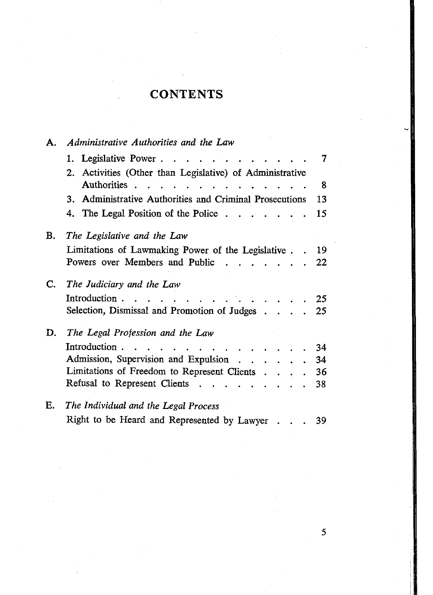## **CONTENTS**

| А.                                                      | Administrative Authorities and the Law                                                                 |    |  |  |  |  |  |  |
|---------------------------------------------------------|--------------------------------------------------------------------------------------------------------|----|--|--|--|--|--|--|
|                                                         | 1. Legislative Power.<br>$\sim$<br>- 12                                                                | 7  |  |  |  |  |  |  |
|                                                         | Activities (Other than Legislative) of Administrative<br>2.                                            |    |  |  |  |  |  |  |
|                                                         | Authorities                                                                                            | 8  |  |  |  |  |  |  |
| 3. Administrative Authorities and Criminal Prosecutions |                                                                                                        |    |  |  |  |  |  |  |
|                                                         | 4. The Legal Position of the Police.<br>and the state of the state of                                  | 15 |  |  |  |  |  |  |
| В.                                                      | The Legislative and the Law                                                                            |    |  |  |  |  |  |  |
|                                                         | Limitations of Lawmaking Power of the Legislative                                                      | 19 |  |  |  |  |  |  |
|                                                         | Powers over Members and Public                                                                         | 22 |  |  |  |  |  |  |
| C.                                                      | The Judiciary and the Law                                                                              |    |  |  |  |  |  |  |
|                                                         | Introduction.                                                                                          | 25 |  |  |  |  |  |  |
|                                                         | Selection, Dismissal and Promotion of Judges                                                           | 25 |  |  |  |  |  |  |
| D.                                                      | The Legal Profession and the Law                                                                       |    |  |  |  |  |  |  |
|                                                         | Introduction.<br>$\sim$ $\sim$ $\sim$ $\sim$ $\sim$ $\sim$ $\sim$<br>$\sim 10^{-1}$ and $\sim 10^{-1}$ | 34 |  |  |  |  |  |  |
|                                                         | Admission, Supervision and Expulsion                                                                   | 34 |  |  |  |  |  |  |
|                                                         | Limitations of Freedom to Represent Clients                                                            | 36 |  |  |  |  |  |  |
|                                                         | Refusal to Represent Clients                                                                           | 38 |  |  |  |  |  |  |
| Е.                                                      | The Individual and the Legal Process                                                                   |    |  |  |  |  |  |  |
|                                                         | Right to be Heard and Represented by Lawyer                                                            | 39 |  |  |  |  |  |  |

5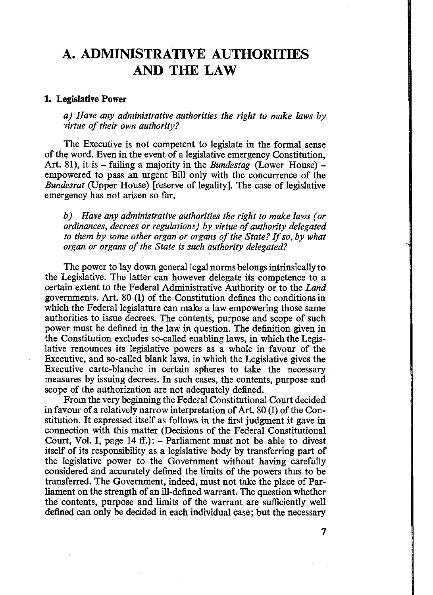### **A. ADMINISTRATIVE AUTHORITIES AND THE LAW**

#### **1. Legislative Power**

*a) Have any administrative authorities the right to make laws by virtue of their own authority?* 

The Executive is not competent to legislate in the formal sense of the word. Even in the event of a legislative emergency Constitution, Art. 81), it is - failing a majority in the *Bundestag* (Lower House) empowered to pass an urgent Bill only with the concurrence of the *Bundesrat* (Upper House) [reserve of legality]. The case of legislative emergency has not arisen so far.

*b) Have any administrative authorities the right to make laws (or ordinances, decrees or regulations) by virtue of authority delegated* to them by some other organ or organs of the State? If so, by what *organ or organs of the State is such authority delegated?* 

The power to lay down general legal norms belongs intrinsically to the Legislative. The latter can however delegate its competence to a certain extent to the Federal Administrative Authority or to the *Land* governments. Art. 80 (I) of the Constitution defines the conditions in which the Federal legislature can make a law empowering those same authorities to issue decrees. The contents, purpose and scope of such power must be defined in the law in question. The definition given in the Constitution excludes so-called enabling laws, in which the Legislative renounces its legislative powers as a whole in favour of the Executive, and so-called blank laws, in which the Legislative gives the Executive carte-blanche in certain spheres to take the necessary measures by issuing decrees. In such cases, the contents, purpose and scope of the authorization are not adequately defined.

From the very beginning the Federal Constitutional Court decided in favour of a relatively narrow interpretation of Art. 80 (I) of the Constitution. It expressed itself as follows in the first judgment it gave in connection with this matter (Decisions of the Federal Constitutional Court, Vol. I, page  $14$  ff.):  $-$  Parliament must not be able to divest itself of its responsibility as a legislative body by transferring part of the legislative power to the Government without having carefully considered and accurately defined the limits of the powers thus to be transferred. The Government, indeed, must not take the place of Parliament on the strength of an ill-defined warrant. The question whether the contents, purpose and limits of the warrant are sufficiently well defined can only be decided in each individual case; but the necessary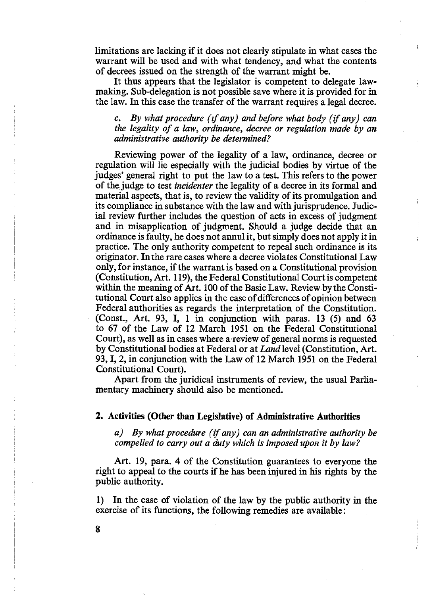limitations are lacking if it does not clearly stipulate in what cases the warrant will be used and with what tendency, and what the contents of decrees issued on the strength of the warrant might be.

It thus appears that the legislator is competent to delegate lawmaking. Sub-delegation is not possible save where it is provided for in the law. In this case the transfer of the warrant requires a legal decree.

*c. By what procedure (if any) and before what body (if any) can the legality of a law, ordinance, decree or regulation made by an administrative authority be determined?*

Reviewing power of the legality of a law, ordinance, decree or regulation will lie especially with the judicial bodies by virtue of the judges' general right to put the law to a test. This refers to the power of the judge to test *incidenter* the legality of a decree in its formal and material aspects, that is, to review the validity of its promulgation and its compliance in substance with the law and with jurisprudence. Judicial review further includes the question of acts in excess of judgment and in misapplication of judgment. Should a judge decide that an ordinance is faulty, he does not annul it, but simply does not apply it in practice. The only authority competent to repeal such ordinance is its originator. In the rare cases where a decree violates Constitutional Law only, for instance, if the warrant is based on a Constitutional provision (Constitution, Art. 119), the Federal Constitutional Courtis competent within the meaning of Art. 100 of the Basic Law. Review by the Constitutional Court also applies in the case of differences of opinion between Federal authorities as regards the interpretation of the Constitution. (Const., Art. 93, I, 1 in conjunction with paras. 13 (5) and 63 to 67 of the Law of 12 March 1951 on the Federal Constitutional Court), as well as in cases where a review of general norms is requested by Constitutional bodies at Federal or at *Land* level (Constitution, Art. 93,1, 2, in conjunction with the Law of 12 March 1951 on the Federal Constitutional Court).

ř

Apart from the juridical instruments of review, the usual Parliamentary machinery should also be mentioned.

**2. Activities (Other than Legislative) of Administrative Authorities**

*a) By what procedure (if any) can an administrative authority be compelled to carry out a duty which is imposed upon it by law?*

Art. 19, para. 4 of the Constitution guarantees to everyone the right to appeal to the courts if he has been injured in his rights by the public authority.

1) In the case of violation of the law by the public authority in the exercise of its functions, the following remedies are available:

**8**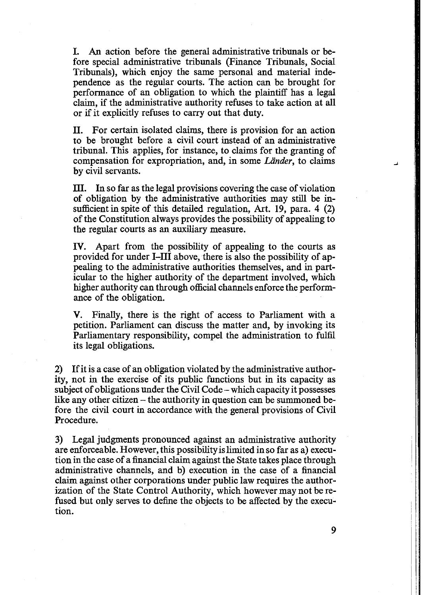I. An action before the general administrative tribunals or before special administrative tribunals (Finance Tribunals, Social Tribunals), which enjoy the same personal and material independence as the regular courts. The action can be brought for performance of an obligation to which the plaintiff has a legal claim, if the administrative authority refuses to take action at all or if it explicitly refuses to carry out that duty.

II. For certain isolated claims, there is provision for an action to be brought before a civil court instead of an administrative tribunal. This applies, for instance, to claims for the granting of compensation for expropriation, and, in some *Lander,* to claims by civil servants.

III. In so far as the legal provisions covering the case of violation of obligation by the administrative authorities may still be insufficient in spite of this detailed regulation, Art. 19, para. 4 (2) of the Constitution always provides the possibility of appealing to the regular courts as an auxiliary measure.

IV. Apart from the possibility of appealing to the courts as provided for under I—III above, there is also the possibility of appealing to the administrative authorities themselves, and in particular to the higher authority of the department involved, which higher authority can through official channels enforce the performance of the obligation.

V. Finally, there is the right of access to Parliament with a petition. Parliament can discuss the matter and, by invoking its Parliamentary responsibility, compel the administration to fulfil its legal obligations.

2) If it is a case of an obligation violated by the administrative authority, not in the exercise of its public functions but in its capacity as subject of obligations under the Civil Code - which capacity it possesses like any other citizen – the authority in question can be summoned before the civil court in accordance with the general provisions of Civil Procedure.

3) Legal judgments pronounced against an administrative authority are enforceable. However, this possibility is limited in so far as a) execution in the case of a financial claim against the State takes place through administrative channels, and b) execution in the case of a financial claim against other corporations under public law requires the authorization of the State Control Authority, which however may not be refused but only serves to define the objects to be affected by the execution.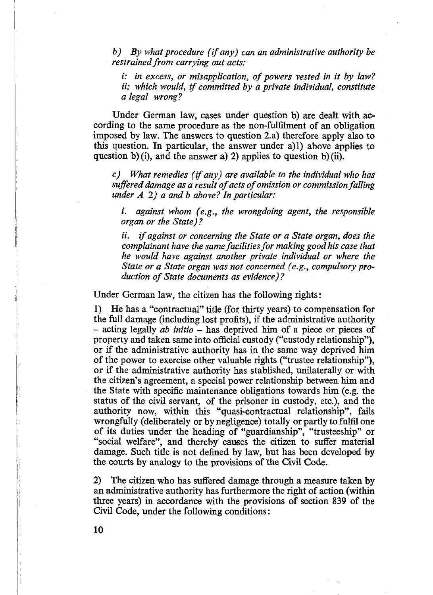*b) By what procedure (if any) can an administrative authority be restrained from carrying out acts:*

*i: in excess, or misapplication, of powers vested in it by law? ii: which would, if committed by a private individual, constitute a legal wrong?*

Under German law, cases under question b) are dealt with according to the same procedure as the non-fulfilment of an obligation imposed by law. The answers to question 2. a) therefore apply also to this question. In particular, the answer under a)l) above applies to question b) (i), and the answer a) 2) applies to question b) (ii).

*c) What remedies (if any) are available to the individual who has suffered damage as a result of acts of omission or commission falling under A 2) a and b above? In particular:*

*i. against whom (e.g., the wrongdoing agent, the responsible organ or the State)?*

*ii. if against or concerning the State or a State organ, does the complainant have the same facilities for making good his case that he would have against another private individual or where the State or a State organ was not concerned (e.g., compulsory production of State documents as evidence)?* 

Under German law, the citizen has the following rights:

1) He has a "contractual" title (for thirty years) to compensation for the full damage (including lost profits), if the administrative authority - acting legally *ab initio -* has deprived him of a piece or pieces of property and taken same into official custody ("custody relationship"), or if the administrative authority has in the same way deprived him of the power to exercise other valuable rights ("trustee relationship"), or if the administrative authority has stablished, unilaterally or with the citizen's agreement, a special power relationship between him and the State with specific maintenance obligations towards him (e.g. the status of the civil servant, of the prisoner in custody, etc.), and the authority now, within this "quasi-contractual relationship", fails wrongfully (deliberately or by negligence) totally or partly to fulfil one of its duties under the heading of "guardianship", "trusteeship" or "social welfare", and thereby causes the citizen to suffer material damage. Such title is not defined by law, but has been developed by the courts by analogy to the provisions of the Civil Code.

2) The citizen who has suffered damage through a measure taken by an administrative authority has furthermore the right of action (within three years) in accordance with the provisions of section 839 of the Civil Code, under the following conditions: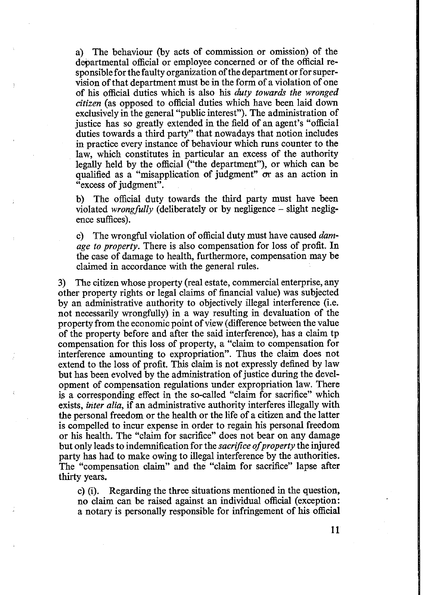a) The behaviour (by acts of commission or omission) of the departmental official or employee concerned or of the official responsible for the faulty organization of the department or for supervision of that department must be in the form of a violation of one of his official duties which is also his *duty towards the wronged citizen* (as opposed to official duties which have been laid down exclusively in the general "public interest"). The administration of justice has so greatly extended in the field of an agent's "official duties towards a third party" that nowadays that notion includes in practice every instance of behaviour which runs counter to the law, which constitutes in particular an excess of the authority legally held by the official ("the department"), or which can be qualified as a "misapplication of judgment" or as an action in "excess of judgment".

b) The official duty towards the third party must have been violated *wrongfully* (deliberately or by negligence – slight negligence suffices).

c) The wrongful violation of official duty must have caused *damage to property.* There is also compensation for loss of profit. In the case of damage to health, furthermore, compensation may be claimed in accordance with the general rules.

3) The citizen whose property (real estate, commercial enterprise, any other property rights or legal claims of financial value) was subjected by an administrative authority to objectively illegal interference (i.e. not necessarily wrongfully) in a way resulting in devaluation of the property from the economic point of view (difference between the value of the property before and after the said interference), has a claim tp compensation for this loss of property, a "claim to compensation for interference amounting to expropriation". Thus the claim does not extend to the loss of profit. This claim is not expressly defined by law but has been evolved by the administration of justice during the development of compensation regulations under expropriation law. There is a corresponding effect in the so-called "claim for sacrifice" which exists, *inter alia,* if an administrative authority interferes illegally with the personal freedom or the health or the life of a citizen and the latter is compelled to incur expense in order to regain his personal freedom or his health. The "claim for sacrifice" does not bear on any damage but only leads to indemnification for the *sacrifice of property* the injured party has had to make owing to illegal interference by the authorities. The "compensation claim" and the "claim for sacrifice" lapse after thirty years.

c) (i). Regarding the three situations mentioned in the question, no claim can be raised against an individual official (exception: a notary is personally responsible for infringement of his official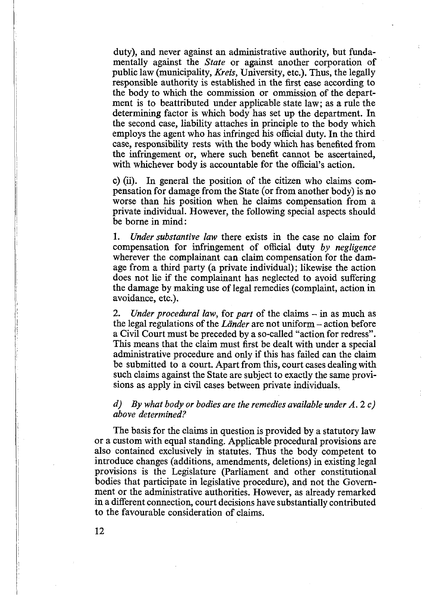duty), and never against an administrative authority, but fundamentally against the *State* or against another corporation of public law (municipality, *Kreis,* University, etc.). Thus, the legally responsible authority is established in the first case according to the body to which the commission or ommission of the department is to beattributed under applicable state law; as a rule the determining factor is which body has set up the department. In the second case, liability attaches in principle to the body which employs the agent who has infringed his official duty. In the third case, responsibility rests with the body which has benefited from the infringement or, where such benefit cannot be ascertained, with whichever body is accountable for the official's action.

c) (ii). In general the position of the citizen who claims compensation for damage from the State (or from another body) is no worse than his position when he claims compensation from a private individual. However, the following special aspects should be borne in mind:

1. *Under substantive law* there exists in the case no claim for compensation for infringement of official duty *by negligence* wherever the complainant can claim compensation for the damage from a third party (a private individual); likewise the action does not lie if the complainant has neglected to avoid suffering the damage by making use of legal remedies (complaint, action in avoidance, etc.).

2. *Under procedural law,* for *part* of the claims – in as much as the legal regulations of the *Länder* are not uniform – action before a Civil Court must be preceded by a so-called "action for redress". This means that the claim must first be dealt with under a special administrative procedure and only if this has failed can the claim be submitted to a court. Apart from this, court cases dealing with such claims against the State are subject to exacdy the same provisions as apply in civil cases between private individuals.

### *d) By what body or bodies are the remedies available under A. 2 c) above determined?*

The basis for the claims in question is provided by a statutory law or a custom with equal standing. Applicable procedural provisions are also contained exclusively in statutes. Thus the body competent to introduce changes (additions, amendments, deletions) in existing legal provisions is the Legislature (Parliament and other constitutional bodies that participate in legislative procedure), and not the Government or the administrative authorities. However, as already remarked in a different connection, court decisions have substantially contributed to the favourable consideration of claims.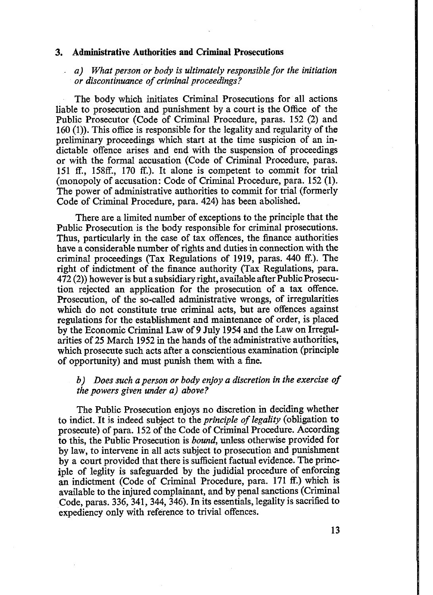### **3. Administrative Authorities and Criminal Prosecutions**

*a) What person or body is ultimately responsible for the initiation or discontinuance of criminal proceedings?* 

The body which initiates Criminal Prosecutions for all actions liable to prosecution and punishment by a court is the Office of the Public Prosecutor (Code of Criminal Procedure, paras. 152 (2) and 160 (1)). This office is responsible for the legality and regularity of the preliminary proceedings which start at the time suspicion of an indictable offence arises and end with the suspension of proceedings or with the formal accusation (Code of Criminal Procedure, paras. 151 ff., 158ff., 170 ff.). It alone is competent to commit for trial (monopoly of accusation: Code of Criminal Procedure, para. 152 (1). The power of administrative authorities to commit for trial (formerly Code of Criminal Procedure, para. 424) has been abolished.

There are a limited number of exceptions to the principle that the Public Prosecution is the body responsible for criminal prosecutions. Thus, particularly in the case of tax offences, the finance authorities have a considerable number of rights and duties in connection with the criminal proceedings (Tax Regulations of 1919, paras. 440 ff.). The right of indictment of the finance authority (Tax Regulations, para. 472 (2)) however is but a subsidiary right, available after Public Prosecution rejected an application for the prosecution of a tax offence. Prosecution, of the so-called administrative wrongs, of irregularities which do not constitute true criminal acts, but are offences against regulations for the establishment and maintenance of order, is placed by the Economic Criminal Law of 9 July 1954 and the Law on Irregularities of 25 March 1952 in the hands of the administrative authorities, which prosecute such acts after a conscientious examination (principle of opportunity) and must punish them with a fine.

### *b*) Does such a person or body enjoy a discretion in the exercise of *the powers given under a) above?*

The Public Prosecution enjoys no discretion in deciding whether to indict. It is indeed subject to the *principle of legality* (obligation to prosecute) of para. 152 of the Code of Criminal Procedure. According to this, the Public Prosecution is *bound,* unless otherwise provided for by law, to intervene in all acts subject to prosecution and punishment by a court provided that there is sufficient factual evidence. The principle of leglity is safeguarded by the judidial procedure of enforcing an indictment (Code of Criminal Procedure, para. 171 ff.) which is available to the injured complainant, and by penal sanctions (Criminal Code, paras. 336, 341, 344, 346). In its essentials, legality is sacrified to expediency only with reference to trivial offences.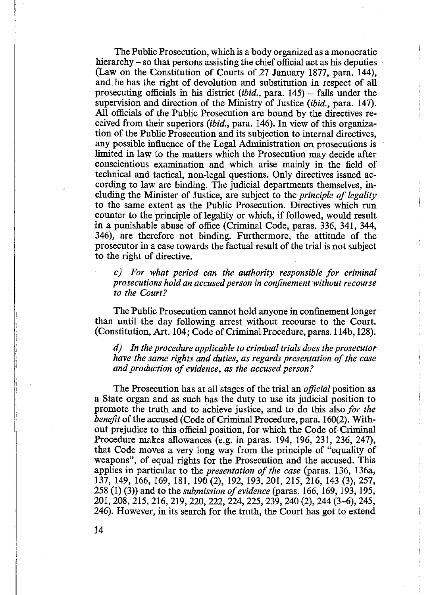The Public Prosecution, which is a body organized as a monocratic hierarchy – so that persons assisting the chief official act as his deputies (Law on the Constitution of Courts of 27 January 1877, para. 144), and he has the right of devolution and substitution in respect of all prosecuting officials in his district *(ibid.,* para. 145) - falls under the supervision and direction of the Ministry of Justice *(ibid.,* para. 147). All officials of the Public Prosecution are bound by the directives received from their superiors *(ibid.,* para. 146). In view of this organization of the Public Prosecution and its subjection to internal directives, any possible influence of the Legal Administration on prosecutions is limited in law to the matters which the Prosecution may decide after conscientious examination and which arise mainly in the field of technical and tactical, non-legal questions. Only directives issued according to law are binding. The judicial departments themselves, including the Minister of Justice, are subject to the *principle of legality* to the same extent as the Public Prosecution. Directives which run counter to the principle of legality or which, if followed, would result in a punishable abuse of office (Criminal Code, paras. 336, 341, 344, 346), are therefore not binding. Furthermore, the attitude of the prosecutor in a case towards the factual result of the trial is not subject to the right of directive.

*c) For what period can the authority responsible for criminal prosecutions hold an accused person in confinement without recourse to the Court?*

The Public Prosecution cannot hold anyone in confinement longer than until the day following arrest without recourse to the Court. (Constitution, Art. 104; Code of Criminal Procedure, paras. 114b, 128).

*d) In the procedure applicable to criminal trials does the prosecutor have the same rights and duties, as regards presentation of the case and production of evidence, as the accused person?* 

The Prosecution has at all stages of the trial an *official* position as a State organ and as such has the duty to use its judicial position to promote the truth and to achieve justice, and to do this also *for the benefit* of the accused (Code of Criminal Procedure, para. 160(2). Without prejudice to this official position, for which the Code of Criminal Procedure makes allowances (e.g. in paras. 194, 196, 231, 236, 247), that Code moves a very long way from the principle of "equality of weapons", of equal rights for the Prosecution and the accused. This applies in particular to the *presentation of the case* (paras. 136, 136a, 137, 149, 166, 169, 181, 190 (2), 192, 193, 201, 215, 216, 143 (3), 257, 258 (1) (3)) and to the *submission of evidence* (paras, 166, 169, 193, 195, 201,208, 215, 216, 219,220, 222, 224,225, 239,240 (2), 244 (3-6), 245, 246). However, in its search for the truth, the Court has got to extend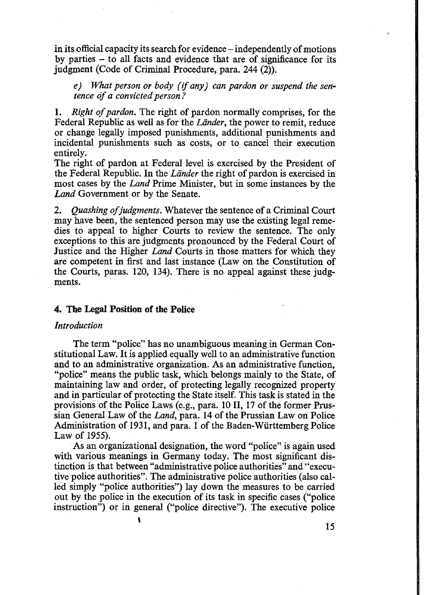in its official capacity its search for evidence – independently of motions by parties  $-$  to all facts and evidence that are of significance for its judgment (Code of Criminal Procedure, para. 244 (2)).

*e) What person or body (if any) can pardon or suspend the sentence of a convicted person?* 

1. *Right of pardon*. The right of pardon normally comprises, for the Federal Republic as well as for the *Lander,* the power to remit, reduce or change legally imposed punishments, additional punishments and incidental punishments such as costs, or to cancel their execution entirely.

The right of pardon at Federal level is exercised by the President of the Federal Republic. In the *Lander* the right of pardon is exercised in most cases by the *Land* Prime Minister, but in some instances by the *Land* Government or by the Senate.

2. *Quashing of judgments*. Whatever the sentence of a Criminal Court may have been, the sentenced person may use the existing legal remedies to appeal to higher Courts to review the sentence. The only exceptions to this are judgments pronounced by the Federal Court of Justice and the Higher *Land* Courts in those matters for which they are competent in first and last instance (Law on the Constitution of the Courts, paras. 120, 134). There is no appeal against these judgments.

### <span id="page-11-0"></span>**4. The Legal Position of the Police**

### *Introduction*

The term "police" has no unambiguous meaning in German Constitutional Law. It is applied equally well to an administrative function and to an administrative organization. As an administrative function, "police" means the public task, which belongs mainly to the State, of maintaining law and order, of protecting legally recognized property and in particular of protecting the State itself. This task is stated in the provisions of the Police Laws (e.g., para. 10 II, 17 of the former Prussian General Law of the *Land,* para. 14 of the Prussian Law on Police Administration of 1931, and para. 1 of the Baden-Wiirttemberg Police Law of 1955).

As an organizational designation, the word "police" is again used with various meanings in Germany today. The most significant distinction is that between "administrative police authorities" and "executive police authorities". The administrative police authorities (also called simply "police authorities") lay down the measures to be carried out by the police in the execution of its task in specific cases ("police instruction") or in general ("police directive"). The executive police

*\*

15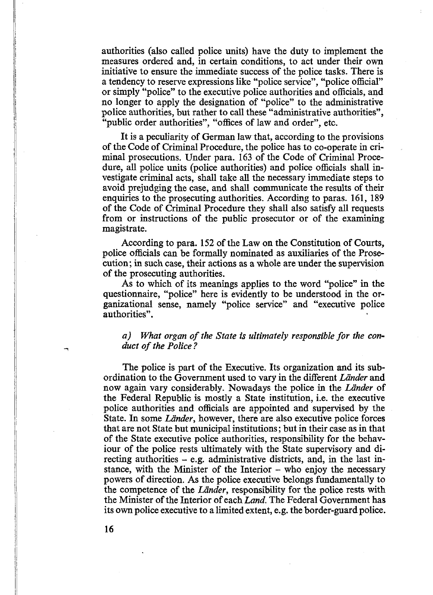authorities (also called police units) have the duty to implement the measures ordered and, in certain conditions, to act under their own initiative to ensure the immediate success of the police tasks. There is a tendency to reserve expressions like "police service", "police official" or simply "police" to the executive police authorities and officials, and no longer to apply the designation of "police" to the administrative police authorities, but rather to call these "administrative authorities", "public order authorities", "offices of law and order", etc.

It is a peculiarity of German law that, according to the provisions of the Code of Criminal Procedure, the police has to co-operate in criminal prosecutions. Under para. 163 of the Code of Criminal Procedure, all police units (police authorities) and police officials shall investigate criminal acts, shall take all the necessary immediate steps to avoid prejudging the case, and shall communicate the results of their enquiries to the prosecuting authorities. According to paras. 161, 189 of the Code of Criminal Procedure they shall also satisfy all requests from or instructions of the public prosecutor or of the examining magistrate.

According to para. 152 of the Law on the Constitution of Courts, police officials can be formally nominated as auxiliaries of the Prosecution; in such case, their actions as a whole are under the supervision of the prosecuting authorities.

As to which of its meanings applies to the word "police" in the questionnaire, "police" here is evidently to be understood in the organizational sense, namely "police service" and "executive police authorities".

### a) What organ of the State is ultimately responsible for the con*duct of the Police?*

The police is part of the Executive. Its organization and its subordination to the Government used to vary in the different *Lander* and now again vary considerably. Nowadays the police in the *Lander* of the Federal Republic is mostly a State institution, i.e. the executive police authorities and officials are appointed and supervised by the State. In some *Länder*, however, there are also executive police forces that are not State but municipal institutions; but in their case as in that of the State executive police authorities, responsibility for the behaviour of the police rests ultimately with the State supervisory and directing authorities  $-$  e.g. administrative districts, and, in the last instance, with the Minister of the Interior – who enjoy the necessary powers of direction. As the police executive belongs fundamentally to the competence of the *Lander,* responsibility for the police rests with the Minister of the Interior of each *Land.* The Federal Government has its own police executive to a limited extent, e.g. the border-guard police.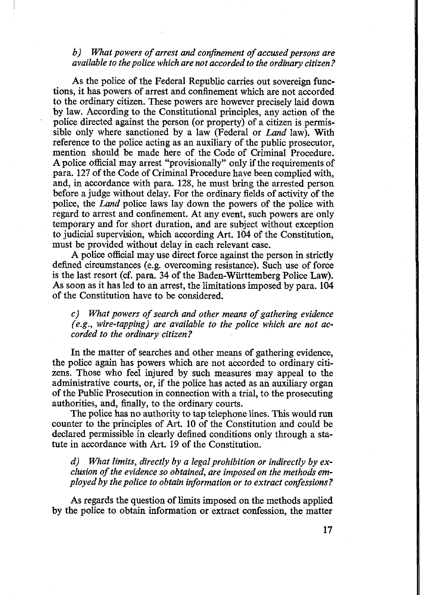### *b*) What powers of arrest and confinement of accused persons are *available to the police which are not accorded to the ordinary citizen ?*

As the police of the Federal Republic carries out sovereign functions, it has powers of arrest and confinement which are not accorded to the ordinary citizen. These powers are however precisely laid down by law. According to the Constitutional principles, any action of the police directed against the person (or property) of a citizen is permissible only where sanctioned by a law (Federal or *Land* law). With reference to the police acting as an auxiliary of the public prosecutor, mention should be made here of the Code of Criminal Procedure. A police official may arrest "provisionally" only if the requirements of para. 127 of the Code of Criminal Procedure have been complied with, and, in accordance with para. 128, he must bring the arrested person before a judge without delay. For the ordinary fields of activity of the police, the *Land* police laws lay down the powers of the police with regard to arrest and confinement. At any event, such powers are only temporary and for short duration, and are subject without exception to judicial supervision, which according Art. 104 of the Constitution, must be provided without delay in each relevant case.

A police official may use direct force against the person in strictly defined circumstances (e.g. overcoming resistance). Such use of force is the last resort (cf. para. 34 of the Baden-Wiirttemberg Police Law). As soon as it has led to an arrest, the limitations imposed by para. 104 of the Constitution have to be considered.

*c*) What powers of search and other means of gathering evidence *(e.g., wire-tapping) are available to the police which are not accorded to the ordinary citizen?*

In the matter of searches and other means of gathering evidence, the police again has powers which are not accorded to ordinary citizens. Those who feel injured by such measures may appeal to the administrative courts, or, if the police has acted as an auxiliary organ of the Public Prosecution in connection with a trial, to the prosecuting authorities, and, finally, to the ordinary courts.

The police has no authority to tap telephone lines. This would run counter to the principles of Art. 10 of the Constitution and could be declared permissible in clearly defined conditions only through a statute in accordance with Art. 19 of the Constitution.

*d) What limits, directly by a legal prohibition or indirectly by ex*clusion of the evidence so obtained, are imposed on the methods em*ployed by the police to obtain information or to extract confessions?*

As regards the question of limits imposed on the methods applied by the police to obtain information or extract confession, the matter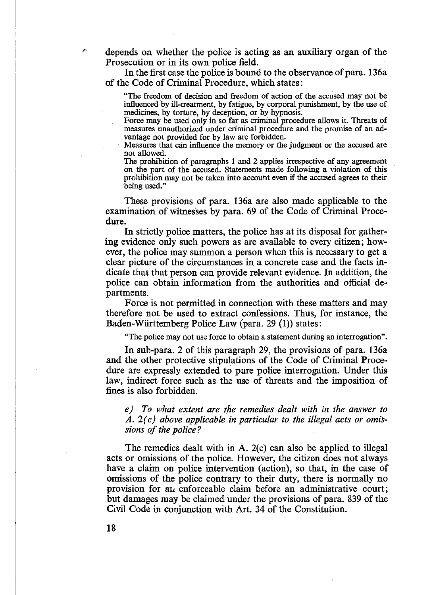depends on whether the police is acting as an auxiliary organ of the Prosecution or in its own police field.

In the first case the police is bound to the observance of para. 136a of the Code of Criminal Procedure, which states:

"The freedom of decision and freedom of action of the accused may not be influenced by ill-treatment, by fatigue, by corporal punishment, by the use of medicines, by torture, by deception, or by hypnosis.

Force may be used only in so far as criminal procedure allows it. Threats of measures unauthorized under criminal procedure and the promise of an advantage not provided for by law are forbidden.

Measures that can influence the memory or the judgment or the accused are not allowed.

The prohibition of paragraphs 1 and 2 applies irrespective of any agreement on the part of the accused. Statements made following a violation of this prohibition may not be taken into account even if the accused agrees to their being used."

These provisions of para. 136a are also made applicable to the examination of witnesses by para. 69 of the Code of Criminal Procedure.

In strictly police matters, the police has at its disposal for gathering evidence only such powers as are available to every citizen; however, the police may summon a person when this is necessary to get a clear picture of the circumstances in a concrete case and the facts indicate that that person can provide relevant evidence. In addition, the police can obtain information from the authorities and official departments.

Force is not permitted in connection with these matters and may therefore not be used to extract confessions. Thus, for instance, the Baden-Wiirttemberg Police Law (para. 29 (1)) states:

"The police may not use force to obtain a statement during an interrogation".

In sub-para. 2 of this paragraph 29, the provisions of para. 136a and the other protective stipulations of the Code of Criminal Procedure are expressly extended to pure police interrogation. Under this law, indirect force such as the use of threats and the imposition of fines is also forbidden.

*e) To what extent are the remedies dealt with in the answer to A. 2(c) above applicable in particular to the illegal acts or omis*sions of the police?

The remedies dealt with in A. 2(c) can also be applied to illegal acts or omissions of the police. However, the citizen does not always have a claim on police intervention (action), so that, in the case of omissions of the police contrary to their duty, there is normally no provision for *ah* enforceable claim before an administrative court; but damages may be claimed under the provisions of para. 839 of the Civil Code in conjunction with Art. 34 of the Constitution.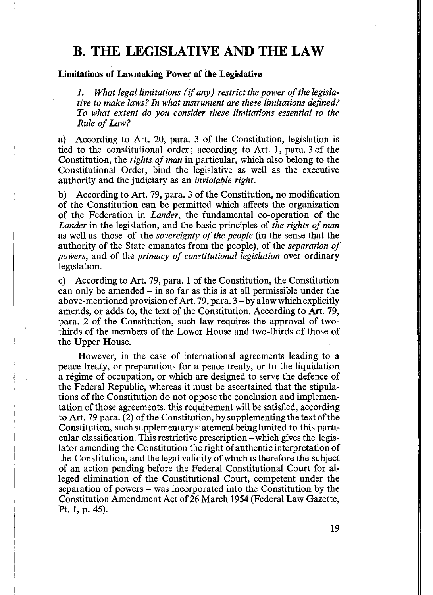### **B. THE LEGISLATIVE AND THE LAW**

### **Limitations of Lawmaking Power of the Legislative**

1. What legal limitations (if any) restrict the power of the legisla*tive to make laws? In what instrument are these limitations defined? To what extent do you consider these limitations essential to the Rule of Law?* 

a) According to Art. 20, para. 3 of the Constitution, legislation is tied to the constitutional order; according to Art. 1, para. 3 of the Constitution, the *rights of man* in particular, which also belong to the Constitutional Order, bind the legislative as well as the executive authority and the judiciary as an *inviolable right.*

b) According to Art. 79, para. 3 of the Constitution, no modification of the Constitution can be permitted which affects the organization of the Federation in *Lander,* the fundamental co-operation of the *Lander* in the legislation, and the basic principles of *the rights of man* as well as those of the *sovereignty of the people* (in the sense that the authority of the State emanates from the people), of the *separation of powers,* and of the *primacy of constitutional legislation* over ordinary legislation.

c) According to Art. 79, para. 1 of the Constitution, the Constitution can only be amended - in so far as this is at all permissible under the above-mentioned provision of Art. 79, para. 3 - by a law which explicitly amends, or adds to, the text of the Constitution. According to Art. 79, para. 2 of the Constitution, such law requires the approval of twothirds of the members of the Lower House and two-thirds of those of the Upper House.

However, in the case of international agreements leading to a peace treaty, or preparations for a peace treaty, or to the liquidation a regime of occupation, or which are designed to serve the defence of the Federal Republic, whereas it must be ascertained that the stipulations of the Constitution do not oppose the conclusion and implementation of those agreements, this requirement will be satisfied, according to Art. 79 para. (2) of the Constitution, by supplementing the text of the Constitution, such supplementary statement being limited to this particular classification. This restrictive prescription - which gives the legislator amending the Constitution the right of authentic interpretation of the Constitution, and the legal validity of which is therefore the subject of an action pending before the Federal Constitutional Court for alleged elimination of the Constitutional Court, competent under the separation of powers - was incorporated into the Constitution by the Constitution Amendment Act of 26 March 1954 (Federal Law Gazette, Pt. I, p. 45).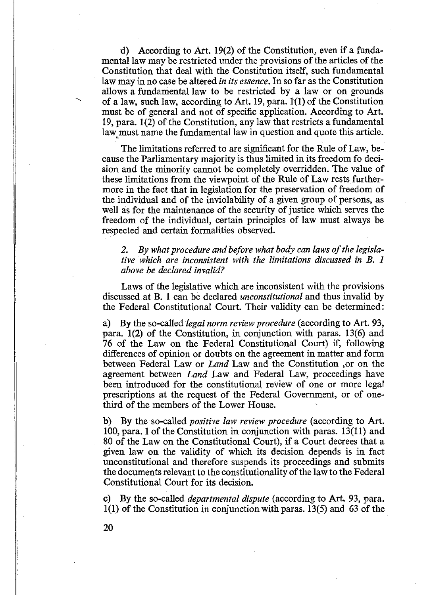d) According to Art. 19(2) of the Constitution, even if a fundamental law may be restricted under the provisions of the articles of the Constitution that deal with the Constitution itself, such fundamental law may in no case be altered *in its essence.* In so far as the Constitution allows a fundamental law to be restricted by a law or on grounds of a law, such law, according to Art. 19, para. 1(1) of the Constitution must be of general and not of specific application. According to Art. 19, para. 1(2) of the Constitution, any law that restricts a fundamental law must name the fundamental law in question and quote this article.

The limitations referred to are significant for the Rule of Law, because the Parliamentary majority is thus limited in its freedom fo decision and the minority cannot be completely overridden. The value of these limitations from the viewpoint of the Rule of Law rests furthermore in the fact that in legislation for the preservation of freedom of the individual and of the inviolability of a given group of persons, as well as for the maintenance of the security of justice which serves the freedom of the individual, certain principles of law must always be respected and certain formalities observed.

2. By what procedure and before what body can laws of the legisla*tive which are inconsistent with the limitations discussed in B. 1 above be declared invalid?*

Laws of the legislative which are inconsistent with the provisions discussed at B. 1 can be declared *unconstitutional* and thus invalid by the Federal Constitutional Court. Their validity can be determined:

a) By the so-called *legal norm review procedure* (according to Art. 93, para. 1(2) of the Constitution, in conjunction with paras. 13(6) and 76 of the Law on the Federal Constitutional Court) if, following differences of opinion or doubts on the agreement in matter and form between Federal Law or *Land* Law and the Constitution ,or on the agreement between *Land* Law and Federal Law, proceedings have been introduced for the constitutional review of one or more legal prescriptions at the request of the Federal Government, or of onethird of the members of the Lower House.

b) By the so-called *positive law review procedure* (according to Art. 100, para. 1 of the Constitution in conjunction with paras. 13(11) and 80 of the Law on the Constitutional Court), if a Court decrees that a given law on the validity of which its decision depends is in fact unconstitutional and therefore suspends its proceedings and submits the documents relevant to the constitutionality of the law to the Federal Constitutional Court for its decision.

c) By the so-called *departmental dispute* (according to Art. 93, para. 1(1) of the Constitution in conjunction with paras. 13(5) and 63 of the

20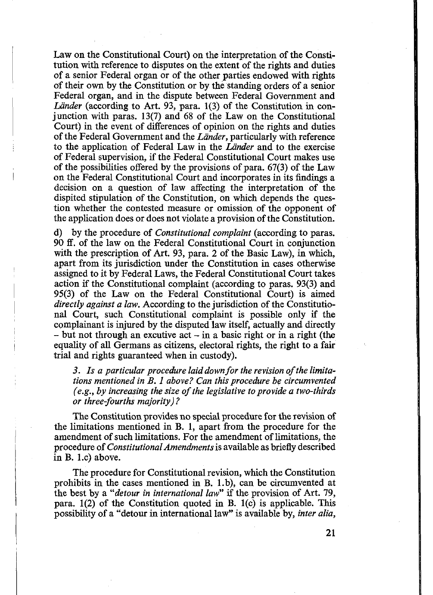Law on the Constitutional Court) on the interpretation of the Constitution with reference to disputes on the extent of the rights and duties of a senior Federal organ or of the other parties endowed with rights of their own by the Constitution or by the standing orders of a senior Federal organ, and in the dispute between Federal Government and Länder (according to Art. 93, para. 1(3) of the Constitution in conjunction with paras. 13(7) and 68 of the Law on the Constitutional Court) in the event of differences of opinion on the rights and duties of the Federal Government and the *Lander,* particularly with reference to the application of Federal Law in the *Lander* and to the exercise of Federal supervision, if the Federal Constitutional Court makes use of the possibilities offered by the provisions of para. 67(3) of the Law on the Federal Constitutional Court and incorporates in its findings a decision on a question of law affecting the interpretation of the dispited stipulation of the Constitution, on which depends the question whether the contested measure or omission of the opponent of the application does or does not violate a provision of the Constitution.

d) by the procedure of *Constitutional complaint* (according to paras. 90 ff. of the law on the Federal Constitutional Court in conjunction with the prescription of Art. 93, para. 2 of the Basic Law), in which, apart from its jurisdiction under the Constitution in cases otherwise assigned to it by Federal Laws, the Federal Constitutional Court takes action if the Constitutional complaint (according to paras. 93(3) and 95(3) of the Law on the Federal Constitutional Court) is aimed *directly against a law.* According to the jurisdiction of the Constitutional Court, such Constitutional complaint is possible only if the complainant is injured by the disputed law itself, actually and directly  $-$  but not through an excutive act  $-$  in a basic right or in a right (the equality of all Germans as citizens, electoral rights, the right to a fair trial and rights guaranteed when in custody).

3. Is a particular procedure laid down for the revision of the limita*tions mentioned in B. 1 above? Can this procedure be circumvented (e.g., by increasing the size of the legislative to provide a two-thirds or three-fourths majority)?*

The Constitution provides no special procedure for the revision of the limitations mentioned in B. 1, apart from the procedure for the amendment of such limitations. For the amendment of limitations, the procedure of *Constitutional Amendments* is available as briefly described in B. l.c) above.

The procedure for Constitutional revision, which the Constitution prohibits in the cases mentioned in B. l.b), can be circumvented at the best by a *"detour in international law*" if the provision of Art. 79, para.  $1(2)$  of the Constitution quoted in B.  $1(c)$  is applicable. This possibility of a "detour in international law" is available by, *inter alia,*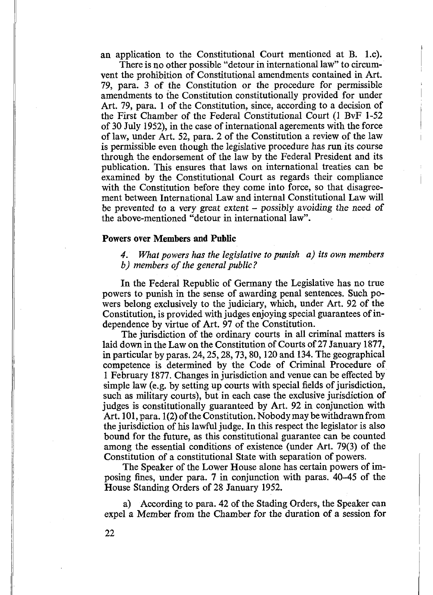an application to the Constitutional Court mentioned at B. l.c).

There is no other possible "detour in international law" to circumvent the prohibition of Constitutional amendments contained in Art. 79, para. 3 of the Constitution or the procedure for permissible amendments to the Constitution constitutionally provided for under Art. 79, para. 1 of the Constitution, since, according to a decision of the First Chamber of the Federal Constitutional Court (1 BvF 1-52 of 30 July 1952), in the case of international agerements with the force of law, under Art. 52, para. 2 of the Constitution a review of the law is permissible even though the legislative procedure has run its course through the endorsement of the law by the Federal President and its publication. This ensures that laws on international treaties can be examined by the Constitutional Court as regards their compliance with the Constitution before they come into force, so that disagreement between International Law and internal Constitutional Law will be prevented to a very great extent - possibly *avoiding the* need of the above-mentioned "detour in international law".

### <span id="page-18-0"></span>**Powers over Members and Public**

*4. What powers has the legislative to punish a) its own members b*) members of the general public?

In the Federal Republic of Germany the Legislative has no true powers to punish in the sense of awarding penal sentences. Such powers belong exclusively to the judiciary, which, under Art. 92 of the Constitution, is provided with judges enjoying special guarantees of independence by virtue of Art. 97 of the Constitution.

The jurisdiction of the ordinary courts in all criminal matters is laid down in the Law on the Constitution of Courts of 27 January 1877, in particular by paras. 24,25,28,73, 80,120 and 134. The geographical competence is determined by the Code of Criminal Procedure of 1 February 1877. Changes in jurisdiction and venue can be effected by simple law (e.g. by setting up courts with special fields of jurisdiction, such as military courts), but in each case the exclusive jurisdiction of judges is constitutionally guaranteed by Art. 92 in conjunction with Art. 101, para. 1(2) of the Constitution. Nobody may be withdrawn from the jurisdiction of his lawful judge. In this respect the legislator is also bound for the future, as this constitutional guarantee can be counted among the essential conditions of existence (under Art. 79(3) of the Constitution of a constitutional State with separation of powers.

The Speaker of the Lower House alone has certain powers of imposing fines, under para. 7 in conjunction with paras. 40-45 of the House Standing Orders of 28 January 1952.

a) According to para. 42 of the Stading Orders, the Speaker can expel a Member from the Chamber for the duration of a session for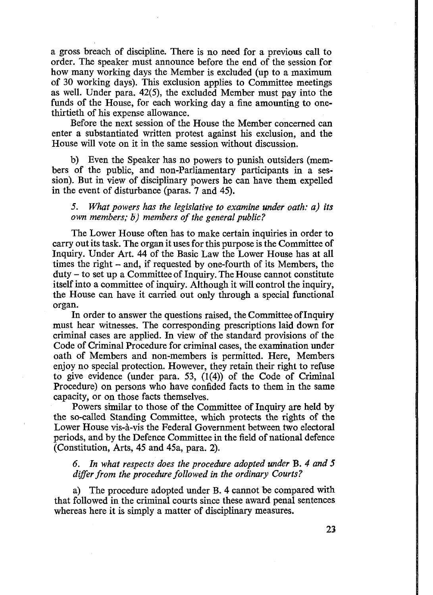a gross breach of discipline. There is no need for a previous call to order. The speaker must announce before the end of the session for how many working days the Member is excluded (up to a maximum of 30 working days). This exclusion applies to Committee meetings as well. Under para. 42(5), the excluded Member must pay into the funds of the House, for each working day a fine amounting to onethirtieth of his expense allowance.

Before the next session of the House the Member concerned can enter a substantiated written protest against his exclusion, and the House will vote on it in the same session without discussion.

b) Even the Speaker has no powers to punish outsiders (members of the public, and non-Parliamentary participants in a session). But in view of disciplinary powers he can have them expelled in the event of disturbance (paras. 7 and 45).

*5. What powers has the legislative to examine under oath: a) its own members; b) members of the general public?* 

The Lower House often has to make certain inquiries in order to carry out its task. The organ it uses for this purpose is the Committee of Inquiry. Under Art. 44 of the Basic Law the Lower House has at all times the right - and, if requested by one-fourth of its Members, the duty - to set up a Committee of Inquiry. The House cannot constitute itself into a committee of inquiry. Although it will control the inquiry, the House can have it carried out only through a special functional organ.

In order to answer the questions raised, the Committee of Inquiry must hear witnesses. The corresponding prescriptions laid down for criminal cases are applied. In view of the standard provisions of the Code of Criminal Procedure for criminal cases, the examination under oath of Members and non-members is permitted. Here, Members enjoy no special protection. However, they retain their right to refuse to give evidence (under para. 53, (1(4)) of the Code of Criminal Procedure) on persons who have confided facts to them in the same capacity, or on those facts themselves.

Powers similar to those of the Committee of Inquiry are held by the so-called Standing Committee, which protects the rights of the Lower House vis-a-vis the Federal Government between two electoral periods, and by the Defence Committee in the field of national defence (Constitution, Arts, 45 and 45a, para. 2).

*6. In what respects does the procedure adopted under* B. *4 and 5 differ from the procedure followed in the ordinary Courts?*

a) The procedure adopted under B. 4 cannot be compared with that followed in the criminal courts since these award penal sentences whereas here it is simply a matter of disciplinary measures.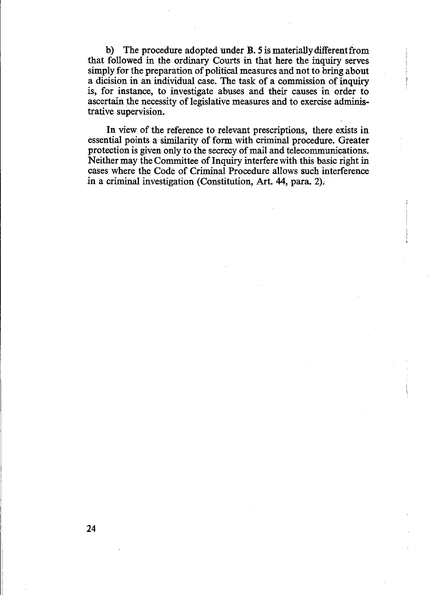b) The procedure adopted under B. 5 is materially different from that followed in the ordinary Courts in that here the inquiry serves simply for the preparation of political measures and not to bring about a dicision in an individual case. The task of a commission of inquiry is, for instance, to investigate abuses and their causes in order to ascertain the necessity of legislative measures and to exercise administrative supervision.

In view of the reference to relevant prescriptions, there exists in essential points a similarity of form with criminal procedure. Greater protection is given only to the secrecy of mail and telecommunications. Neither may the Committee of Inquiry interfere with this basic right in cases where the Code of Criminal Procedure allows such interference in a criminal investigation (Constitution, Art. 44, para. 2).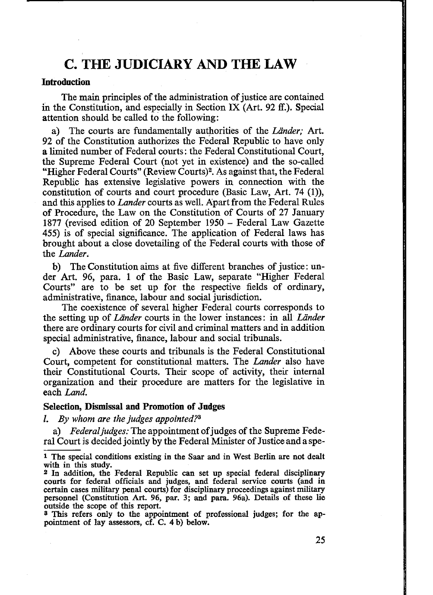### **C. THE JUDICIARY AND THE LAW**

### **Introduction**

The main principles of the administration of justice are contained in the Constitution, and especially in Section IX (Art. 92 ff.). Special attention should be called to the following:

a) The courts are fundamentally authorities of the *Lander;* Art. 92 of the Constitution authorizes the Federal Republic to have only a limited number of Federal courts: the Federal Constitutional Court, the Supreme Federal Court (not yet in existence) and the so-called "Higher Federal Courts" (Review Courts)2. As against that, the Federal Republic has extensive legislative powers in connection with the constitution of courts and court procedure (Basic Law, Art. 74 (1)), and this applies to *Lander* courts as well. Apart from the Federal Rules of Procedure, the Law on the Constitution of Courts of 27 January 1877 (revised edition of 20 September 1950 - Federal Law Gazette 455) is of special significance. The application of Federal laws has brought about a close dovetailing of the Federal courts with those of the *Lander.*

b) The Constitution aims at five different branches of justice: under Art. 96, para. 1 of the Basic Law, separate "Higher Federal Courts" are to be set up for the respective fields of ordinary, administrative, finance, labour and social jurisdiction.

The coexistence of several higher Federal courts corresponds to the setting up of *Lander* courts in the lower instances: in all *Lander* there are ordinary courts for civil and criminal matters and in addition special administrative, finance, labour and social tribunals.

c) Above these courts and tribunals is the Federal Constitutional Court, competent for constitutional matters. The *Lander* also have their Constitutional Courts. Their scope of activity, their internal organization and their procedure are matters for the legislative in each *Land.*

### **Selection, Dismissal and Promotion of Judges**

*I. By whom are the judges appointed?3*

a) *Federaljudges:* The appointment of judges of the Supreme Federal Court is decided jointly by the Federal Minister of Justice and a spe-

<sup>1</sup> The special conditions existing in the Saar and in West Berlin are not dealt with in this study.

<sup>2</sup> In addition, the Federal Republic can set up special federal disciplinary courts for federal officials and judges, and federal service courts (and in certain cases military penal courts) for disciplinary proceedings against military personnel (Constitution Art. 96, par. 3; and para. 96a). Details of these lie outside the scope of this report.

<sup>3</sup> This refers only to the appointment of professional judges; for the appointment of lay assessors, cf. C. 4 b) below.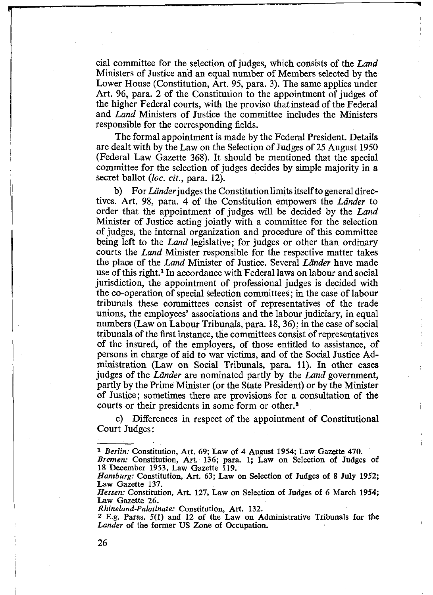cial committee for the selection of judges, which consists of the *Land* Ministers of Justice and an equal number of Members selected by the Lower House (Constitution, Art. 95, para. 3). The same applies under Art. 96, para. 2 of the Constitution to the appointment of judges of the higher Federal courts, with the proviso that instead of the Federal and *Land* Ministers of Justice the committee includes the Ministers responsible for the corresponding fields.

The formal appointment is made by the Federal President. Details are dealt with by the Law on the Selection of Judges of 25 August 1950 (Federal Law Gazette 368). It should be mentioned that the special committee for the selection of judges decides by simple majority in  $a$ secret ballot (*loc. cit.,* para. 12).

b) For *Länder* judges the Constitution limits itself to general directives. Art. 98, para. 4 of the Constitution empowers the *Lander* to order that the appointment of judges will be decided by the *Land* Minister of Justice acting jointly with a committee for the selection of judges, the internal organization and procedure of this committee being left to the *Land* legislative; for judges or other than ordinary courts the *Land* Minister responsible for the respective matter takes the place of the *Land* Minister of Justice. Several *Lander* have made use of this right.1 In accordance with Federal laws on labour and social jurisdiction, the appointment of professional judges is decided with the co-operation of special selection committees; in the case of labour tribunals these committees consist of representatives of the trade unions, the employees' associations and the labour judiciary, in equal numbers (Law on Labour Tribunals, para. 18, 36); in the case of social tribunals of the first instance, the committees consist of representatives of the insured, of the employers, of those entitled to assistance, of persons in charge of aid to war victims, and of the Social Justice Administration (Law on Social Tribunals, para. 11). In other cases judges of the *Lander* are nominated partly by the *Land* government, partly by the Prime Minister (or the State President) or by the Minister of Justice; sometimes there are provisions for a consultation of the courts or their presidents in some form or other.<sup>2</sup>

c) Differences in respect of the appointment of Constitutional Court Judges:

**I**

<sup>1</sup> *Berlin:* Constitution, Art. 69; Law of 4 August 1954; Law Gazette 470.

*Bremen:* Constitution, Art. 136; para. 1; Law on Selection of Judges of 18 December 1953, Law Gazette 119.

*Hamburg:* Constitution, Art. 63; Law on Selection of Judges of 8 July 1952; Law Gazette 137.

*Hessen:* Constitution, Art. 127, Law on Selection of Judges of 6 March 1954; Law Gazette 26.

*Rhineland-Palatinate:* Constitution, Art. 132.

<sup>2</sup> E.g. Paras. 5(1) and 12 of the Law on Administrative Tribunals for the *Lander* of the former US Zone of Occupation.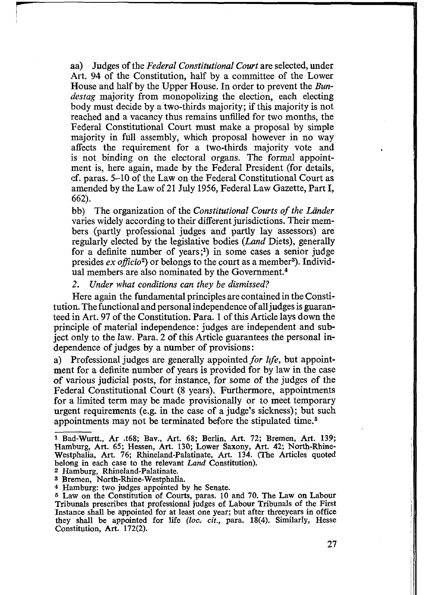aa) Judges of the *Federal Constitutional Court* are selected, under Art. 94 of the Constitution, half by a committee of the Lower House and half by the Upper House. In order to prevent the *Bundestag* majority from monopolizing the election, each electing body must decide by a two-thirds majority; if this majority is not reached and a vacancy thus remains unfilled for two months, the Federal Constitutional Court must make a proposal by simple majority in full assembly, which proposal however in no way affects the requirement for a two-thirds majority vote and is not binding on the electoral organs. The formal appointment is, here again, made by the Federal President (for details, cf. paras. 5-10 of the Law on the Federal Constitutional Court as amended by the Law of 21 July 1956, Federal Law Gazette, Part I, 662).

bb) The organization of the *Constitutional Courts of the Länder* varies widely according to their different jurisdictions. Their members (partly professional judges and partly lay assessors) are regularly elected by the legislative bodies *(Land* Diets), generally for a definite number of years;<sup>1</sup>) in some cases a senior judge presides *ex officio*<sup>2</sup>) or belongs to the court as a member<sup>3</sup>). Individual members are also nominated by the Government.<sup>4</sup>

*2. Under what conditions can they be dismissed?*

Here again the fundamental principles are contained in the Constitution. The functional and personal independence of all judges is guaranteed in Art. 97 of the Constitution. Para. 1 of this Article lays down the principle of material independence: judges are independent and subject only to the law. Para. 2 of this Article guarantees the personal independence of judges by a number of provisions:

a) Professional judges are generally appointed *for life,* but appointment for a definite number of years is provided for by law in the case of various judicial posts, for instance, for some of the judges of the Federal Constitutional Court (8 years). Furthermore, appointments for a limited term may be made provisionally or to meet temporary urgent requirements (e.g. in the case of a judge's sickness); but such appointments may not be terminated before the stipulated time.5

<sup>1</sup> Bad-Wurtt., Ar .t68; Bay., Art. 68; Berlin, Art. 72; Bremen, Art. 139; Hamburg, Art. 65; Hessen, Art. 130; Lower Saxony, Art. 42; North-Rhine-Westphalia, Art. 76; Rhineland-Palatinate, Art. 134. (The Articles quoted belong in each case to the relevant *Land* Constitution).

<sup>2</sup> Hamburg, Rhineland-Palatinate.

<sup>3</sup> Bremen, North-Rhine-Westphalia.

<sup>4</sup> Hamburg: two judges appointed by he Senate.

<sup>5</sup> Law on the Constitution of Courts, paras. 10 and 70. The Law on Labour Tribunals prescribes that professional judges of Labour Tribunals of the First Instance shall be appointed for at least one year; but after threeyears in office they shall be appointed for life *(loc. cit.,* para. 18(4). Similarly, Hesse Constitution, Art. 172(2).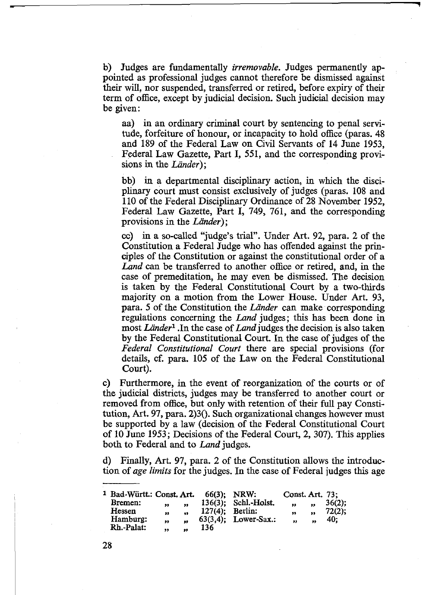b) Judges are fundamentally *irremovable.* Judges permanently appointed as professional judges cannot therefore be dismissed against their will, nor suspended, transferred or retired, before expiry of their term of office, except by judicial decision. Such judicial decision may be given:

aa) in an ordinary criminal court by sentencing to penal servitude, forfeiture of honour, or incapacity to hold office (paras. 48 and 189 of the Federal Law on Civil Servants of 14 June 1953, Federal Law Gazette, Part I, 551, and the corresponding provisions in the *Länder*);

bb) in a departmental disciplinary action, in which the disciplinary court must consist exclusively of judges (paras. 108 and 110 of the Federal Disciplinary Ordinance of 28 November 1952, Federal Law Gazette, Part I, 749, 761, and the corresponding provisions in the *Lander)',*

cc) in a so-called "judge's trial". Under Art. 92, para. 2 of the Constitution a Federal Judge who has offended against the principles of the Constitution or against the constitutional order of a *Land* can be transferred to another office or retired, and, in the case of premeditation, he may even be dismissed. The decision is taken by the Federal Constitutional Court by a two-thirds majority on a motion from the Lower House. Under Art. 93, para. 5 of the Constitution the *Lander* can make corresponding regulations concerning the *Land* judges; this has been done in most *Lander*1 .In the case of *Land* judges the decision is also taken by the Federal Constitutional Court. In the case of judges of the *Federal Constitutional Court* there are special provisions (for details, cf. para. 105 of the Law on the Federal Constitutional Court).

c) Furthermore, in the event of reorganization of the courts or of the judicial districts, judges may be transferred to another court or removed from office, but only with retention of their full pay Constitution, Art. 97, para.  $2$ 30. Such organizational changes however must be supported by a law (decision of the Federal Constitutional Court of 10 June 1953; Decisions of the Federal Court, 2, 307). This applies both to Federal and to *Land* judges.

d) Finally, Art. 97, para. 2 of the Constitution allows the introduction of *age limits* for the judges. In the case of Federal judges this age

| <sup>1</sup> Bad-Württ.: Const. Art. |    |                  | 66(3): NRW:        |                         | Const. Art. 73; |    |           |
|--------------------------------------|----|------------------|--------------------|-------------------------|-----------------|----|-----------|
| Bremen:                              | ,, | 99               |                    | 136(3): Schl.-Holst.    | 93              | ,, | $36(2)$ ; |
| Hessen                               | ,, | 99               | $127(4)$ : Berlin: |                         | 99              | ,, | $72(2)$ ; |
| Hamburg:                             | ,, | $\bullet\bullet$ |                    | $63(3.4)$ : Lower-Sax.: | 93              | 99 | 40:       |
| Rh.-Palat:                           | ,, | 99               | 136                |                         |                 |    |           |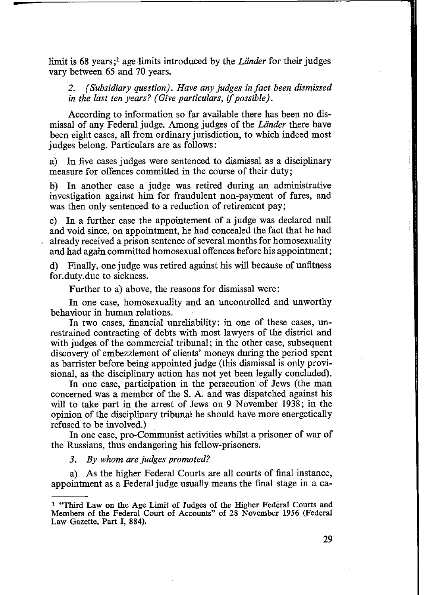limit is 68 years;<sup>1</sup> age limits introduced by the *Länder* for their judges vary between 65 and 70 years.

*2. (Subsidiary question). Have any judges in fact been dismissed in the last ten years? (Give particulars, if possible).*

According to information so far available there has been no dismissal of any Federal judge. Among judges of the *Lander* there have been eight cases, all from ordinary jurisdiction, to which indeed most judges belong. Particulars are as follows:

a) In five cases judges were sentenced to dismissal as a disciplinary measure for offences committed in the course of their duty;

b) In another case a judge was retired during an administrative investigation against him for fraudulent non-payment of fares, and was then only sentenced to a reduction of retirement pay;

c) In a further case the appointement of a judge was declared null and void since, on appointment, he had concealed the fact that he had already received a prison sentence of several months for homosexuality and had again committed homosexual offences before his appointment;

d) Finally, one judge was retired against his will because of unfitness for.duty.due to sickness.

Further to a) above, the reasons for dismissal were:

In one case, homosexuality and an uncontrolled and unworthy behaviour in human relations.

In two cases, financial unreliability: in one of these cases, unrestrained contracting of debts with most lawyers of the district and with judges of the commercial tribunal; in the other case, subsequent discovery of embezzlement of clients' moneys during the period spent as barrister before being appointed judge (this dismissal is only provisional, as the disciplinary action has not yet been legally concluded).

In one case, participation in the persecution of Jews (the man concerned was a member of the S. A. and was dispatched against his will to take part in the arrest of Jews on 9 November 1938; in the opinion of the disciplinary tribunal he should have more energetically refused to be involved.)

In one case, pro-Communist activities whilst a prisoner of war of the Russians, thus endangering his fellow-prisoners.

*3. By whom are judges promoted?*

a) As the higher Federal Courts are all courts of final instance, appointment as a Federal judge usually means the final stage in a ca-

<sup>1 &</sup>quot;Third Law on the Age Limit of Judges of the Higher Federal Courts and Members of the Federal Court of Accounts" of 28 November 1956 (Federal Law Gazette, Part I, 884).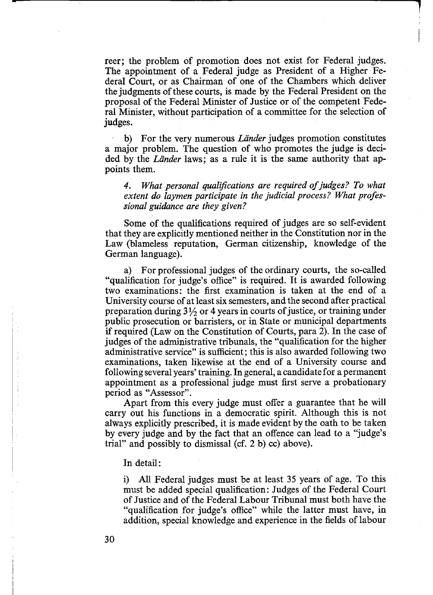reer; the problem of promotion does not exist for Federal judges. The appointment of a Federal judge as President of a Higher Federal Court, or as Chairman of one of the Chambers which deliver the judgments of these courts, is made by the Federal President on the proposal of the Federal Minister of Justice or of the competent Federal Minister, without participation of a committee for the selection of judges.

b) For the very numerous *Länder* judges promotion constitutes a major problem. The question of who promotes the judge is decided by the *Lander* laws; as a rule it is the same authority that appoints them.

4. What personal qualifications are required of *judges?* To what *extent do laymen participate in the judicial process? What professional guidance are they given?*

Some of the qualifications required of judges are so self-evident that they are explicitly mentioned neither in the Constitution nor in the Law (blameless reputation, German citizenship, knowledge of the German language).

a) For professional judges of the ordinary courts, the so-called "qualification for judge's office" is required. It is awarded following two examinations: the first examination is taken at the end of a University course of at least six semesters, and the second after practical preparation during 3<sup>1</sup>/<sub>2</sub> or 4 years in courts of justice, or training under public prosecution or barristers, or in State or municipal departments if required (Law on the Constitution of Courts, para 2). In the case of judges of the administrative tribunals, the "qualification for the higher administrative service" is sufficient; this is also awarded following two examinations, taken likewise at the end of a University course and following several years' training. In general, a candidate for a permanent appointment as a professional judge must first serve a probationary period as "Assessor".

Apart from this every judge must offer a guarantee that he will carry out his functions in a democratic spirit. Although this is not always explicitly prescribed, it is made evident by the oath to be taken by every judge and by the fact that an offence can lead to a "judge's trial" and possibly to dismissal (cf. 2 b) cc) above).

In detail:

i) All Federal judges must be at least 35 years of age. To this must be added special qualification: Judges of the Federal Court of Justice and of the Federal Labour Tribunal must both have the "qualification for judge's office" while the latter must have, in addition, special knowledge and experience in the fields of labour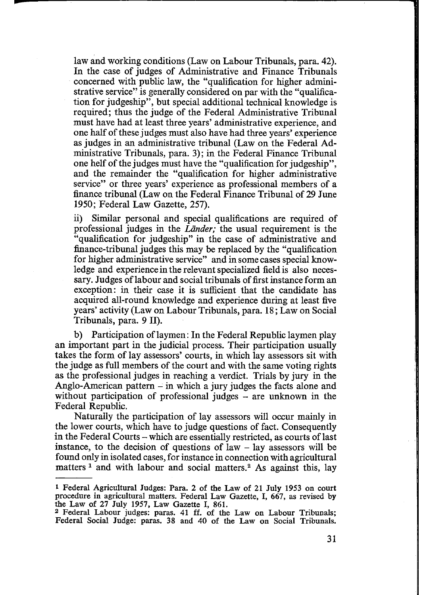law and working conditions (Law on Labour Tribunals, para. 42). In the case of judges of Administrative and Finance Tribunals concerned with public law, the "qualification for higher administrative service" is generally considered on par with the "qualification for judgeship", but special additional technical knowledge is required; thus the judge of the Federal Administrative Tribunal must have had at least three years' administrative experience, and one half of these judges must also have had three years' experience as judges in an administrative tribunal (Law on the Federal Administrative Tribunals, para. 3); in the Federal Finance Tribunal one helf of the judges must have the "qualification for judgeship", and the remainder the "qualification for higher administrative service" or three years' experience as professional members of a finance tribunal (Law on the Federal Finance Tribunal of 29 June 1950; Federal Law Gazette, 257).

ii) Similar personal and special qualifications are required of professional judges in the *Lander;* the usual requirement is the "qualification for judgeship" in the case of administrative and finance-tribunal judges this may be replaced by the "qualification for higher administrative service" and in some cases special knowledge and experience in the relevant specialized field is also necessary. Judges of labour and social tribunals of first instance form an exception: in their case it is sufficient that the candidate has acquired all-round knowledge and experience during at least five years' activity (Law on Labour Tribunals, para. 18; Law on Social Tribunals, para. 9 II).

b) Participation of laymen: In the Federal Republic laymen play an important part in the judicial process. Their participation usually takes the form of lay assessors' courts, in which lay assessors sit with the judge as full members of the court and with the same voting rights as the professional judges in reaching a verdict. Trials by jury in the Anglo-American pattern  $-$  in which a jury judges the facts alone and without participation of professional judges - are unknown in the Federal Republic.

Naturally the participation of lay assessors will occur mainly in the lower courts, which have to judge questions of fact. Consequently in the Federal Courts – which are essentially restricted, as courts of last instance, to the decision of questions of law  $-$  lay assessors will be found only in isolated cases, for instance in connection with agricultural matters<sup>1</sup> and with labour and social matters.<sup>2</sup> As against this, lay

<sup>1</sup> Federal Agricultural Judges: Para. 2 of the Law of 21 July 1953 on court procedure in agricultural matters. Federal Law Gazette, I, 667, as revised by the Law of 27 July 1957, Law Gazette I, 861.

<sup>2</sup> Federal Labour judges: paras. 41 ff. of the Law on Labour Tribunals; Federal Social Judge: paras. 38 and 40 of the Law on Social Tribunals.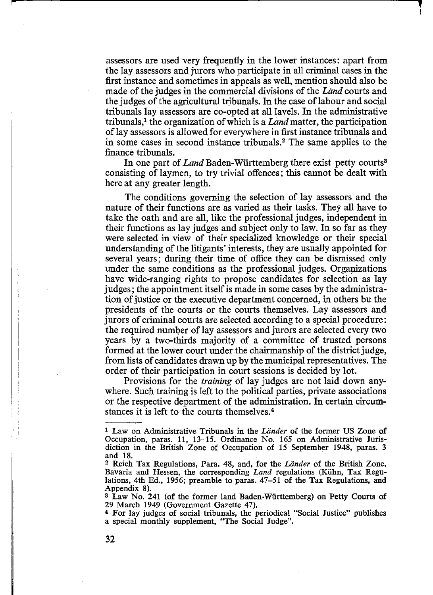assessors are used very frequently in the lower instances: apart from the lay assessors and jurors who participate in all criminal cases in the first instance and sometimes in appeals as well, mention should also be made of the judges in the commercial divisions of the *Land* courts and the judges of the agricultural tribunals. In the case of labour and social tribunals lay assessors are co-opted at all lavels. In the administrative tribunals,1 the organization of which is a *Land* matter, the participation of lay assessors is allowed for everywhere in first instance tribunals and in some cases in second instance tribunals.2 The same applies to the finance tribunals.

In one part of *Land* Baden-Wiirttemberg there exist petty courts® consisting of laymen, to try trivial offences; this cannot be dealt with here at any greater length.

The conditions governing the selection of lay assessors and the nature of their functions are as varied as their tasks. They all have to take the oath and are all, like the professional judges, independent in their functions as lay judges and subject only to law. In so far as they were selected in view of their specialized knowledge or their special understanding of the litigants' interests, they are usually appointed for several years; during their time of office they can be dismissed only under the same conditions as the professional judges. Organizations have wide-ranging rights to propose candidates for selection as lay judges; the appointment itself is made in some cases by the administration of justice or the executive department concerned, in others bu the presidents of the courts or the courts themselves. Lay assessors and jurors of criminal courts are selected according to a special procedure: the required number of lay assessors and jurors are selected every two years by a two-thirds majority of a committee of trusted persons formed at the lower court under the chairmanship of the district judge, from lists of candidates drawn up by the municipal representatives. The order of their participation in court sessions is decided by lot.

Provisions for the *training* of lay judges are not laid down anywhere. Such training is left to the political parties, private associations or the respective department of the administration. In certain circumstances it is left to the courts themselves.4

<sup>1</sup> Law on Administrative Tribunals in the *Lander* of the former US Zone of Occupation, paras. 11, 13-15. Ordinance No. 165 on Administrative Jurisdiction in the British Zone of Occupation of 15 September 1948, paras. 3 and 18.

<sup>2</sup> Reich Tax Regulations, Para. 48, and, for the *Lander* of the British Zone, Bavaria and Hessen, the corresponding *Land* regulations (Kuhn, Tax Regulations, 4th Ed., 1956; preamble to paras. 47-51 of the Tax Regulations, and Appendix 8).

<sup>3</sup> Law No. 241 (of the former land Baden-Wiirttemberg) on Petty Courts of 29 March 1949 (Government Gazette 47).

<sup>4</sup> For lay judges of social tribunals, the periodical "Social Justice" publishes a special monthly supplement, "The Social Judge".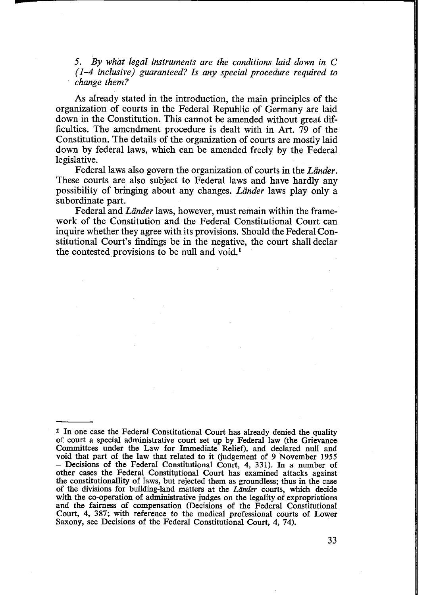*5. By what legal instruments are the conditions laid down in C (1-4 inclusive) guaranteed? Is any special procedure required to change them?*

As already stated in the introduction, the main principles of the organization of courts in the Federal Republic of Germany are laid down in the Constitution. This cannot be amended without great difficulties. The amendment procedure is dealt with in Art. 79 of the Constitution. The details of the organization of courts are mostly laid down by federal laws, which can be amended freely by the Federal legislative.

Federal laws also govern the organization of courts in the *Lander.* These courts are also subject to Federal laws and have hardly any possibility of bringing about any changes. *Lander* laws play only a subordinate part.

Federal and *Länder* laws, however, must remain within the framework of the Constitution and the Federal Constitutional Court can inquire whether they agree with its provisions. Should the Federal Constitutional Court's findings be in the negative, the court shall declar the contested provisions to be null and void.1

<sup>1</sup> In one case the Federal Constitutional Court has already denied the quality of court a special administrative court set up by Federal law (the Grievance Committees under the Law for Immediate Relief), and declared null and void that part of the law that related to it (judgement of 9 November 1955 - Decisions of the Federal Constitutional Court, *4,* 331). In a number of other cases the Federal Constitutional Court has examined attacks against the constitutionallity of laws, but rejected them as groundless; thus in the case of the divisions for building-land matters at the *Lander* courts, which decide with the co-operation of administrative judges on the legality of expropriations and the fairness of compensation (Decisions of the Federal Constitutional Court, 4, 387; with reference to the medical professional courts of Lower Saxony, see Decisions of the Federal Constitutional Court, 4, 74).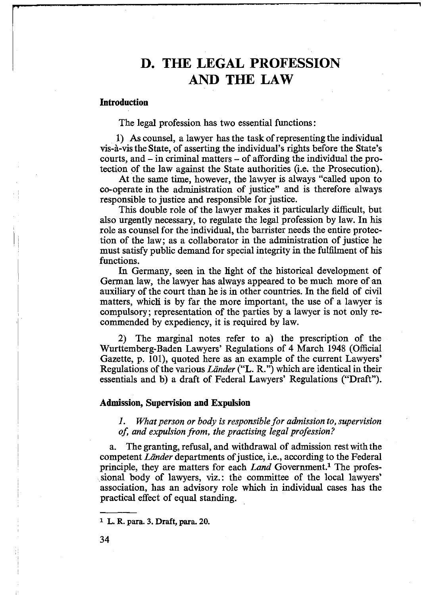### **D. THE LEGAL PROFESSION AND THE LAW**

٦

### <span id="page-30-0"></span>**Introduction**

The legal profession has two essential functions:

1) As counsel, a lawyer has the task of representing the individual vis-a-vis the State, of asserting the individual's rights before the State's courts, and - in criminal matters - of affording the individual the protection of the law against the State authorities (i.e. the Prosecution).

At the same time, however, the lawyer is always "called upon to co-operate in the administration of justice" and is therefore always responsible to justice and responsible for justice.

This double role of the lawyer makes it particularly difficult, but also urgently necessary, to regulate the legal profession by law. In his role as counsel for the individual, the barrister needs the entire protection of the law; as a collaborator in the administration of justice he must satisfy public demand for special integrity in the fulfilment of his functions.

In Germany, seen in the light of the historical development of German law, the lawyer has always appeared to be much more of an auxiliary of the court than he is in other countries. In the field of civil matters, which is by far the more important, the use of a lawyer is compulsory; representation of the parties by a lawyer is not only recommended by expediency, it is required by law.

2) The marginal notes refer to a) the prescription of the Wurttemberg-Baden Lawyers' Regulations of 4 March 1948 (Official Gazette, p. 101), quoted here as an example of the current Lawyers' Regulations of the various *Lander* ("L. R.") which are identical in their essentials and b) a draft of Federal Lawyers' Regulations ("Draft").

#### <span id="page-30-1"></span>**Admission, Supervision and Expulsion**

*1. What person or body is responsible for admission to, supervision of, and expulsion from, the practising legal profession?*

a. The granting, refusal, and withdrawal of admission rest with the competent *Lander* departments of justice, i.e., according to the Federal principle, they are matters for each *Land* Government.<sup>1</sup> The professional body of lawyers, viz.: the committee of the local lawyers' association, has an advisory role which in individual cases has the practical effect of equal standing.

**<sup>1</sup> L. R. para. 3. Draft, para. 20.**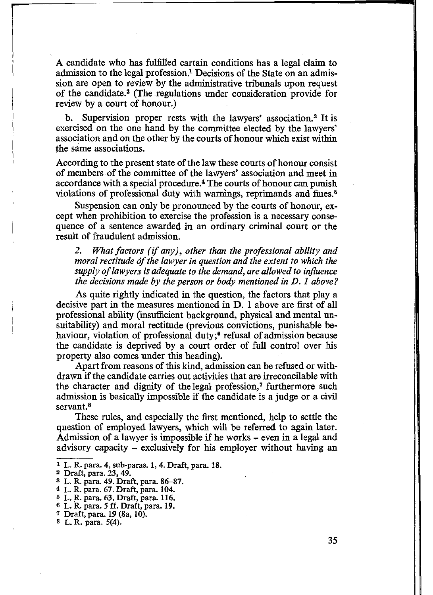A candidate who has fulfilled cartain conditions has a legal claim to admission to the legal profession.1 Decisions of the State on an admission are open to review by the administrative tribunals upon request of the candidate.2 (The regulations under consideration provide for review by a court of honour.)

b. Supervision proper rests with the lawyers' association.3 It is exercised on the one hand by the committee elected by the lawyers' association and on the other by the courts of honour which exist within the same associations.

According to the present state of the law these courts of honour consist of members of the committee of the lawyers' association and meet in accordance with a special procedure.4 The courts of honour can punish violations of professional duty with warnings, reprimands and fines.<sup>5</sup>

Suspension can only be pronounced by the courts of honour, except when prohibition to exercise the profession is a necessary consequence of a sentence awarded in an ordinary criminal court or the result of fraudulent admission.

*2. What factors (if any), other than the professional ability and moral rectitude of the lawyer in question and the extent to which the supply of lawyers is adequate to the demand, are allowed to influence the decisions made by the person or body mentioned in D. 1 above?*

As quite rightly indicated in the question, the factors that play a decisive part in the measures mentioned in D. 1 above are first of all professional ability (insufficient background, physical and mental unsuitability) and moral rectitude (previous convictions, punishable behaviour, violation of professional duty;<sup>6</sup> refusal of admission because the candidate is deprived by a court order of full control over his property also comes under this heading).

Apart from reasons of this kind, admission can be refused or withdrawn if the candidate carries out activities that are irreconcilable with the character and dignity of the legal profession,<sup>7</sup> furthermore such admission is basically impossible if the candidate is a judge or a civil servant.<sup>8</sup>

These rules, and especially the first mentioned, help to settle the question of employed lawyers, which will be referred to again later. Admission of a lawyer is impossible if he works - even in a legal and advisory capacity - exclusively for his employer without having an

4 L. R. para. 67. Draft, para. 104.

7 Draft, para. 19 (8a, 10).

<sup>1</sup> L. R. para. 4, sub-paras. 1, 4. Draft, para. 18.

<sup>2</sup> Draft, para. 23, 49. ,

<sup>3</sup> L. R. para. 49. Draft, para. 86-87.

<sup>5</sup> L. R. para. 63. Draft, para. 116.

<sup>®</sup> L. R. para. 5 ff. Draft, para. 19.

<sup>8</sup> L. R. para. 5(4).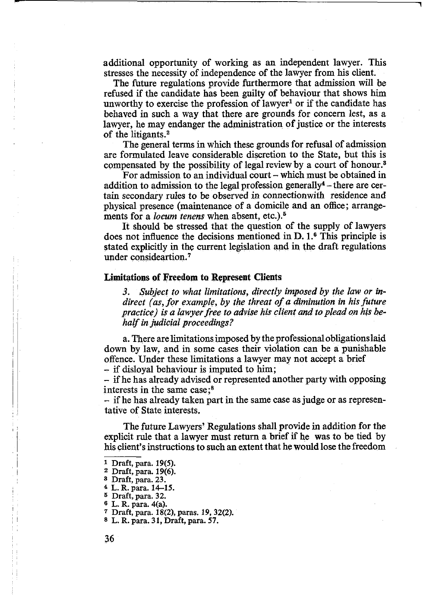additional opportunity of working as an independent lawyer. This stresses the necessity of independence of the lawyer from his client.

**1**

The future regulations provide furthermore that admission will be refused if the candidate has been guilty of behaviour that shows him unworthy to exercise the profession of lawyer<sup>1</sup> or if the candidate has behaved in such a way that there are grounds for concern *lest,* as a lawyer, he may endanger the administration of justice or the interests of the litigants.<sup>2</sup>

The general terms in which these grounds for refusal of admission are formulated leave considerable discretion to the State, but this is compensated by the possibility of legal review by a court of honour.3

For admission to an individual court  $-$  which must be obtained in addition to admission to the legal profession generally<sup>4</sup> – there are certain secondary rules to be observed in connectionwith residence and physical presence (maintenance of a domicile and an office; arrangements for a *locum tenens* when absent, etc.).5

It should be stressed that the question of the supply of lawyers does not influence the decisions mentioned in D. I.6 This principle is stated explicitly in the current legislation and in the draft regulations under consideartion.7

### <span id="page-32-0"></span>**Limitations of Freedom to Represent Clients**

*3. Subject to what limitations, directly imposed by the law or indirect (as, for example, by the threat of a diminution in his future practice) is a lawyer free to advise his client and to plead on his behalf in judicial proceedings?*

a. There are limitations imposed by the professional obligations laid down by law, and in some cases their violation can be a punishable offence. Under these limitations a lawyer may not accept a brief - if disloyal behaviour is imputed to him;

- if he has already advised or represented another party with opposing interests in the same case;8

- if he has already taken part in the same case as judge or as representative of State interests.

The future Lawyers' Regulations shall provide in addition for the explicit rule that a lawyer must return a brief if he was to be tied by his client's instructions to such an extent that he would lose the freedom

<sup>1</sup> Draft, para. 19(5).

<sup>2</sup> Draft, para. 19(6).

<sup>3</sup> Draft, para. 23.

<sup>4</sup> L. R. para. 14-15.

<sup>5</sup> Draft, para. 32.

<sup>®</sup> L. R. para. 4(a).

<sup>7</sup> Draft, para. 18(2), paras. 19, 32(2).

<sup>8</sup> L. R. para. 31, Draft, para. 57.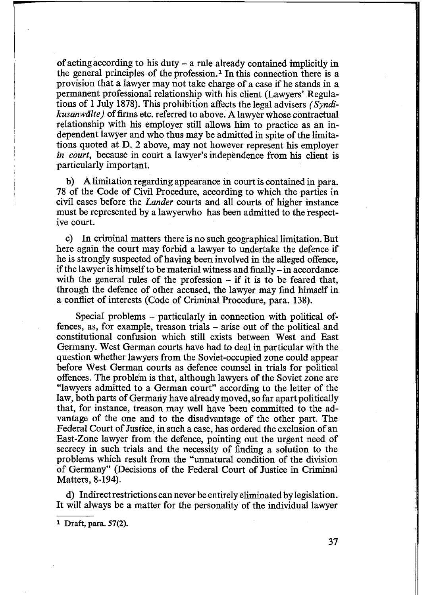of acting according to his duty - a rule already contained implicitly in the general principles of the profession.<sup>1</sup> In this connection there is a provision that a lawyer may not take charge of a case if he stands in a permanent professional relationship with his client (Lawyers' Regulations of 1 July 1878). This prohibition affects the legal advisers *(Syndikusanwalte)* of firms etc. referred to above. A lawyer whose contractual relationship with his employer still allows him to practice as an independent lawyer and who thus may be admitted in spite of the limitations quoted at D. 2 above, may not however represent his employer *in court,* because in court a lawyer's independence from his client is particularly important.

b) A limitation regarding appearance in court is contained in para. 78 of the Code of Civil Procedure, according to which the parties in civil cases before the *Lander* courts and all courts of higher instance must be represented by a lawyerwho has been admitted to the respective court.

c) In criminal matters there is no such geographical limitation. But here again the court may forbid a lawyer to undertake the defence if he is strongly suspected of having been involved in the alleged offence, if the lawyer is himself to be material witness and finally - in accordance with the general rules of the profession  $-$  if it is to be feared that, through the defence of other accused, the lawyer may find himself in a conflict of interests (Code of Criminal Procedure, para. 138).

Special problems - particularly in connection with political offences, as, for example, treason trials – arise out of the political and constitutional confusion which still exists between West and East Germany. West German courts have had to deal in particular with the question whether lawyers from the Soviet-occupied zone could appear before West German courts as defence counsel in trials for political offences. The problem is that, although lawyers of the Soviet zone are "lawyers admitted to a German court" according to the letter of the law, both parts of Germany have already moved, so far apart politically that, for instance, treason may well have been committed to the advantage of the one and to the disadvantage of the other part. The Federal Court of Justice, in such a case, has ordered the exclusion of an East-Zone lawyer from the defence, pointing out the urgent need of secrecy in such trials and the necessity of finding a solution to the problems which result from the "unnatural condition of the division of Germany" (Decisions of the Federal Court of Justice in Criminal Matters, 8-194).

d) Indirect restrictions can never be entirely eliminated by legislation. It will always be a matter for the personality of the individual lawyer

<sup>1</sup> Draft, para. 57(2).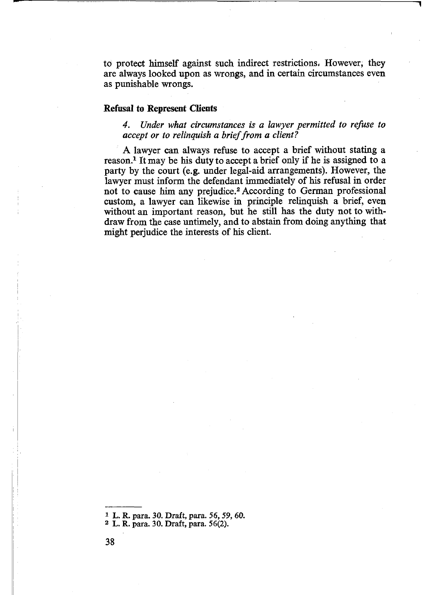to protect himself against such indirect restrictions. However, they are always looked upon as wrongs, and in certain circumstances even as punishable wrongs.

**1**

#### **Refusal to Represent Clients**

*4. Under what circumstances is a lawyer permitted to refuse to accept or to relinquish a brief from a client?*

A lawyer can always refuse to accept a brief without stating a reason.1 It may be his duty to accept a brief only if he is assigned to a party by the court (e.g. under legal-aid arrangements). However, the lawyer must inform the defendant immediately of his refusal in order not to cause him any prejudice.2 According to German professional custom, a lawyer can likewise in principle relinquish a brief, even without an important reason, but he still has the duty not to withdraw from the case untimely, and to abstain from doing anything that might perjudice the interests of his client.

<sup>1</sup> L. R. para. 30. Draft, para. 56, 59, 60.

<sup>2</sup> L. R. para. 30. Draft, para. 56(2).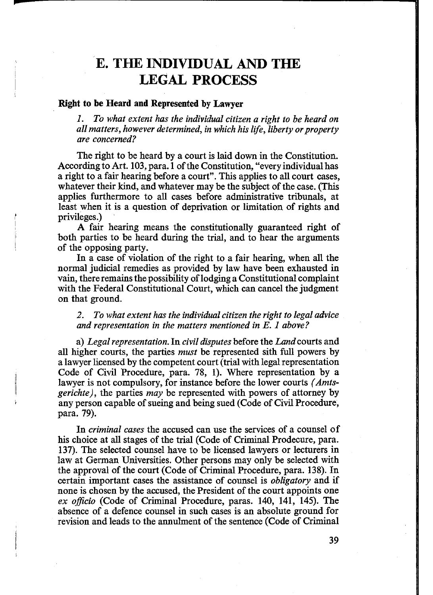### **E. THE INDIVIDUAL AND THE LEGAL PROCESS**

### <span id="page-35-0"></span>**Right to be Heard and Represented by Lawyer**

*w*

*1. To what extent has the individual citizen a right to be heard on all matters, however determined, in which his life, liberty or property are concerned?*

The right to be heard by a court is laid down in the Constitution. According to Art. 103, para. 1 of the Constitution, "every individual has a right to a fair hearing before a court". This applies to all court cases, whatever their kind, and whatever may be the subject of the case. (This applies furthermore to all cases before administrative tribunals, at least when it is a question of deprivation or limitation of rights and privileges.)

A fair hearing means the constitutionally guaranteed right of both parties to be heard during the trial, and to hear the arguments of the opposing party.

In a case of violation of the right to a fair hearing, when all the normal judicial remedies as provided by law have been exhausted in vain, there remains the possibility of lodging a Constitutional complaint with the Federal Constitutional Court, which can cancel the judgment on that ground.

*2. To what extent has the individual citizen the right to legal advice and representation in the matters mentioned in E. 1 above?*

a) *Legal representation.* In *civil disputes* before the *Land* courts and all higher courts, the parties *must* be represented sith full powers by a lawyer licensed by the competent court (trial with legal representation Code of Civil Procedure, para. 78, 1). Where representation by a lawyer is not compulsory, for instance before the lower courts *(Amtsgerichte),* the parties *may* be represented with powers of attorney by any person capable of sueing and being sued (Code of Civil Procedure, para. 79).

In *criminal cases* the accused can use the services of a counsel of his choice at all stages of the trial (Code of Criminal Prodecure, para. 137). The selected counsel have to be licensed lawyers or lecturers in law at German Universities. Other persons may only be selected with the approval of the court (Code of Criminal Procedure, para. 138). In certain important cases the assistance of counsel is *obligatory* and if none is chosen by the accused, the President of the court appoints one *ex officio* (Code of Criminal Procedure, paras. 140, 141, 145). The absence of a defence counsel in such cases is an absolute ground for revision and leads to the annulment of the sentence (Code of Criminal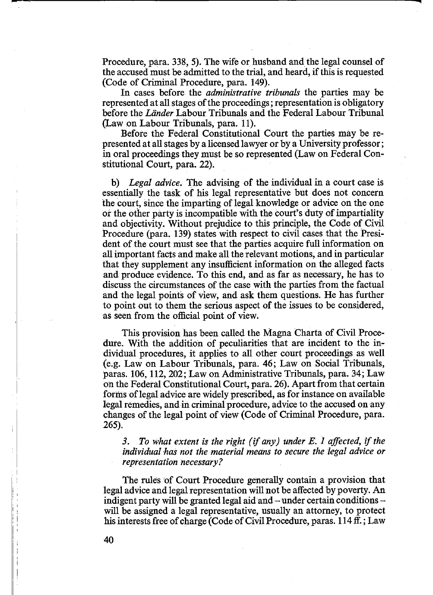Procedure, para. 338, 5). The wife or husband and the legal counsel of the accused must be admitted to the trial, and heard, if this is requested (Code of Criminal Procedure, para. 149).

In cases before the *administrative tribunals* the parties may be represented at all stages of the proceedings; representation is obligatory before the *Lander* Labour Tribunals and the Federal Labour Tribunal (Law on Labour Tribunals, para. 11).

Before the Federal Constitutional Court the parties may be represented at all stages by a licensed lawyer or by a University professor; in oral proceedings they must be so represented (Law on Federal Constitutional Court, para. 22).

b) *Legal advice.* The advising of the individual in a court case is essentially the task of his legal representative but does not concern the court, since the imparting of legal knowledge or advice on the one or the other party is incompatible with the court's duty of impartiality and objectivity. Without prejudice to this principle, the Code of Civil Procedure (para. 139) states with respect to civil cases that the President of the court must see that the parties acquire full information on all important facts and make all the relevant motions, and in particular that they supplement any insufficient information on the alleged facts and produce evidence. To this end, and as far as necessary, he has to discuss the circumstances of the case with the parties from the factual and the legal points of view, and ask them questions. He has further to point out to them the serious aspect of the issues to be considered, as seen from the official point of view.

This provision has been called the Magna Charta of Civil Procedure. With the addition of peculiarities that are incident to the individual procedures, it applies to all other court proceedings as well (e.g. Law on Labour Tribunals, para. 46; Law on Social Tribunals, paras. 106, 112, 202; Law on Administrative Tribunals, para. 34; Law on the Federal Constitutional Court, para. 26). Apart from that certain forms of legal advice are widely prescribed, as for instance on available legal remedies, and in criminal procedure, advice to the accused on any changes of the legal point of view (Code of Criminal Procedure, para. 265).

*3. To what extent is the right (if any) under E. 1 affected, if the individual has not the material means to secure the legal advice or representation necessary?*

The rules of Court Procedure generally contain a provision that legal advice and legal representation will not be affected by poverty. An indigent party will be granted legal aid and  $-$  under certain conditions  $$ will be assigned a legal representative, usually an attorney, to protect his interests free of charge (Code of Civil Procedure, paras. 114 ff.; Law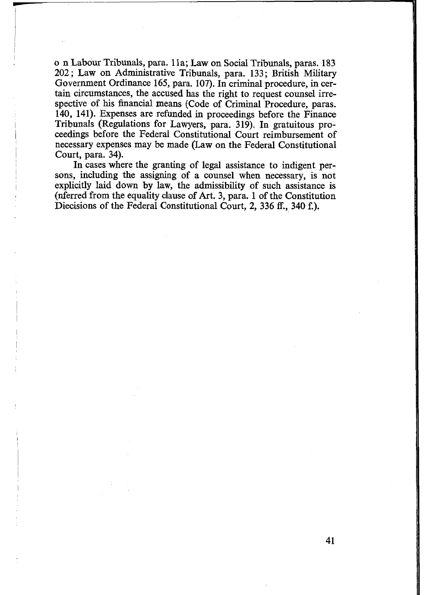o n Labour Tribunals, para. 11a; Law on Social Tribunals, paras. 183 202; Law on Administrative Tribunals, para. 133; British Military Government Ordinance 165, para. 107). In criminal procedure, in certain circumstances, the accused has the right to request counsel irrespective of his financial means (Code of Criminal Procedure, paras. 140, 141). Expenses are refunded in proceedings before the Finance Tribunals (Regulations for Lawyers, para. 319). In gratuitous proceedings before the Federal Constitutional Court reimbursement of necessary expenses may be made (Law on the Federal Constitutional Court, para. 34).

In cases where the granting of legal assistance to indigent persons, including the assigning of a counsel when necessary, is not explicitly laid down by law, the admissibility of such assistance is (nferred from the equality clause of Art. 3, para. 1 of the Constitution Diecisions of the Federal Constitutional Court, 2, 336 ff., 340 f.).